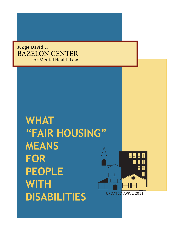Judge David L. BAZELON CENTER for Mental Health Law

# **WHAT "FAIR HOUSING" MEANS FOR PEOPLE WITH DISABILITIES** UPDATED APRIL 2011

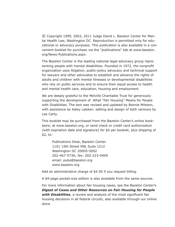© Copyright 1999, 2003, 2011 Judge David L. Bazelon Center for Mental Health Law, Washington DC. Reproduction is permitted only for educational or advocacy purposes. This publication is also available in a convenient booklet for purchase via the "publications" tab at www.bazelon. org/News-Publications.aspx.

The Bazelon Center is the leading national legal-advocacy group representing people with mental disabilities. Founded in 1972, the nonprofit organization uses litigation, public-policy advocacy and technical support for lawyers and other advocates to establish and advance the rights of adults and children with mental illnesses or developmental disabilities who rely on public services and to ensure their equal access to health and mental health care, education, housing and employment.

We are deeply grateful to the Melville Charitable Trust for generously supporting the development of What "Fair Housing" Means for People with Disabilities. The text was revised and updated by Bonnie Milstein, with assistance by Kaley Laleker; editing and design of both versions by Lee Carty.

This booklet may be purchased from the Bazelon Center's online bookstore, at www.bazelon.org, or send check or credit card authorization (with expiration date and signature) for \$4 per booklet, plus shipping of \$2, to:

Publications Desk, Bazelon Center 1101 15th Street NW, Suite 1212 Washington DC 20005-5002 202-467-5730; fax: 202-223-0409 email: pubs@bazelon.org www.bazelon.org

Add an administrative charge of \$4.50 if you request billing.

A 64-page pocket-size edition is also available from the same sources.

For more information about fair housing cases, see the Bazelon Center's *Digest of Cases and Other Resources on Fair Housing for People*  **with Disabilities**, a review and analysis of the most significant fair housing decisions in all federal circuits, also available through our online store.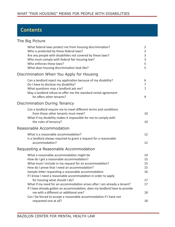# **Contents**

# The Big Picture

| What federal laws protect me from housing discrimination?<br>Who is protected by these federal laws?<br>Are any people with disabilities not covered by these laws?<br>Who must comply with federal fair housing law?<br>Who enforces these laws?<br>What does housing discrimination look like? | 2<br>$\overline{2}$<br>3<br>3<br>5<br>5 |
|--------------------------------------------------------------------------------------------------------------------------------------------------------------------------------------------------------------------------------------------------------------------------------------------------|-----------------------------------------|
| Discrimination When You Apply for Housing                                                                                                                                                                                                                                                        |                                         |
| Can a landlord reject my application because of my disability?<br>Do I have to disclose my disability?<br>What questions may a landlord ask me?<br>May a landlord refuse to offer me the standard rental agreement<br>he offers other tenants?                                                   | 6<br>7<br>$\overline{7}$<br>9           |
| <b>Discrimination During Tenancy</b>                                                                                                                                                                                                                                                             |                                         |
| Can a landlord require me to meet different terms and conditions<br>from those other tenants must meet?<br>What if my disability makes it impossible for me to comply with<br>the rules of tenancy?                                                                                              | 10<br>10                                |
| <b>Reasonable Accommodation</b>                                                                                                                                                                                                                                                                  |                                         |
| What is a reasonable accommodation?<br>Is a landlord always required to grant a request for a reasonable<br>accommodation?                                                                                                                                                                       | 12<br>12                                |
| Requesting a Reasonable Accommodation                                                                                                                                                                                                                                                            |                                         |
| What a reasonable accommodation might be<br>How do I get a reasonable accommodation?<br>What must I include in my request for an accommodation?<br>How do I prove that I need an accommodation?<br>Sample letter requesting a reasonable accommodation                                           | 14<br>15<br>15<br>15<br>16              |
| If I know I need a reasonable accommodation in order to apply                                                                                                                                                                                                                                    |                                         |
| for housing what should I do?<br>What if my need for an accommodation arises after I am already a tenant?<br>If I have already gotten an accommodation, does my landlord have to provide                                                                                                         | 17<br>17                                |
| me with a different or additional one?<br>Can I be forced to accept a reasonable accommodation if I have not                                                                                                                                                                                     | 18                                      |
| requested one at all?                                                                                                                                                                                                                                                                            | 18                                      |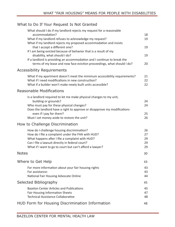# What to Do If Your Request Is Not Granted

| What should I do if my landlord rejects my request for a reasonable                                 |    |
|-----------------------------------------------------------------------------------------------------|----|
| accommodation?                                                                                      | 18 |
| What if my landlord refuses to acknowledge my request?                                              | 19 |
| What if my landlord rejects my proposed accommodation and insists<br>that I accept a different one? | 19 |
| If I am being evicted because of behavior that is a result of my                                    |    |
| disability, what should I do?                                                                       | 19 |
| If a landlord is providing an accommodation and I continue to break the                             |    |
| terms of my lease and now face eviction proceedings, what should I do?                              | 20 |
| <b>Accessibility Requirements</b>                                                                   |    |
| What if my apartment doesn't meet the minimum accessibility requirements?                           | 21 |
| What if I need modifications in new construction?                                                   | 22 |
| What if a builder won't make newly built units accessible?                                          | 22 |
| <b>Reasonable Modifications</b>                                                                     |    |
| Is a landlord required to let me make physical changes to my unit,                                  |    |
| building or grounds?                                                                                | 24 |
| Who must pay for these physical changes?                                                            | 24 |
| Does the landlord have a right to approve or disapprove my modifications                            |    |
| even if I pay for them?                                                                             | 25 |
| Must I set money aside to restore the unit?                                                         | 26 |
| How to Challenge Discrimination                                                                     |    |
| How do I challenge housing discrimination?                                                          | 26 |
| How do I file a complaint under the FHA with HUD?                                                   | 27 |
| What happens after I file a complaint with HUD?                                                     | 29 |
| Can I file a lawsuit directly in federal court?                                                     | 29 |
| What if I want to go to court but can't afford a lawyer?                                            | 29 |
| <b>Notes</b>                                                                                        | 30 |
| Where to Get Help                                                                                   | 43 |
| For more information about your fair housing rights                                                 | 43 |
| For assistance:                                                                                     | 43 |
| National Fair Housing Advocate Online                                                               | 44 |
| Selected Bibliography                                                                               | 45 |
| Bazelon Center Articles and Publications                                                            | 45 |
| <b>Fair Housing Information Sheets</b>                                                              | 47 |
| <b>Technical Assistance Collaborative</b>                                                           | 48 |
| HUD Form for Housing Discrimination Information                                                     | 48 |
|                                                                                                     |    |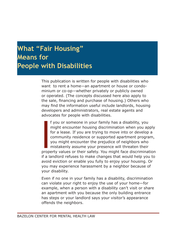# **What "Fair Housing" Means for People with Disabilities**

This publication is written for people with disabilities who want to rent a home—an apartment or house or condominium or co-op—whether privately or publicly owned or operated. (The concepts discussed here also apply to the sale, financing and purchase of housing.) Others who may find the information useful include landlords, housing developers and administrators, real estate agents and advocates for people with disabilities.

If you different in your lating has a disability you<br>might encounter housing discrimination when you apply<br>for a lease. If you are trying to move into or develop a<br>community residence or supported apartment program,<br>you mi f you or someone in your family has a disability, you might encounter housing discrimination when you apply for a lease. If you are trying to move into or develop a community residence or supported apartment program, you might encounter the prejudice of neighbors who mistakenly assume your presence will threaten their if a landlord refuses to make changes that would help you to avoid eviction or enable you fully to enjoy your housing. Or you may experience harassment by a neighbor because of your disability.

Even if no one in your family has a disability, discrimination can violate your right to enjoy the use of your home—for example, when a person with a disability can't visit or share an apartment with you because the only building entrance has steps or your landlord says your visitor's appearance offends the neighbors.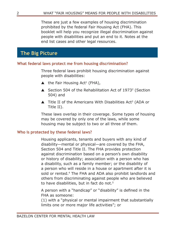These are just a few examples of housing discrimination prohibited by the federal Fair Housing Act (FHA). This booklet will help you recognize illegal discrimination against people with disabilities and put an end to it. Notes at the end list cases and other legal resources.

# **The Big Picture**

# **What federal laws protect me from housing discrimination?**

Three federal laws prohibit housing discrimination against people with disabilities:

- $\blacktriangle$  the Fair Housing Act<sup>1</sup> (FHA),
- ▲ Section 504 of the Rehabilitation Act of 1973<sup>2</sup> (Section 504) and
- $\blacktriangle$  Title II of the Americans With Disabilities Act<sup>3</sup> (ADA or Title II).

These laws overlap in their coverage. Some types of housing may be covered by only one of the laws, while some housing may be subject to two or all three of them.

# **Who is protected by these federal laws?**

Housing applicants, tenants and buyers with any kind of disability—mental or physical—are covered by the FHA, Section 504 and Title II. The FHA provides protection against discrimination based on a person's own disability or history of disability; association with a person who has a disability, such as a family member; or the disability of a person who will reside in a house or apartment after it is sold or rented.<sup>4</sup> The FHA and ADA also prohibit landlords and others from discriminating against people who are believed to have disabilities, but in fact do not.<sup>5</sup>

A person with a "handicap" or "disability" is defined in the FHA as someone:

(1) with a "physical or mental impairment that substantially limits one or more major life activities"; or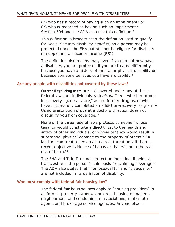(2) who has a record of having such an impairment; or  $(3)$  who is regarded as having such an impairment.<sup>6</sup> Section 504 and the ADA also use this definition.<sup>7</sup>

This definition is broader than the definition used to qualify for Social Security disability benefits, so a person may be protected under the FHA but still not be eligible for disability or supplemental security income (SSI).

The definition also means that, even if you do not now have a disability, you are protected if you are treated differently because you have a history of mental or physical disability or because someone believes you have a disability.<sup>8</sup>

# **Are any people with disabilities not covered by these laws?**

Current illegal drug users are not covered under any of these federal laws but individuals with *alcoholism—* whether or not in recovery—generally are, $9$  as are former drug users who have successfully completed an addiction-recovery program.<sup>10</sup> Using prescription drugs at a doctor's direction does not disqualify you from coverage.<sup>11</sup>

None of the three federal laws protects someone "whose tenancy would constitute a **direct threat** to the health and safety of other individuals, or whose tenancy would result in substantial physical damage to the property of others."12 A landlord can treat a person as a direct threat only if there is recent objective evidence of behavior that will put others at risk of harm.13

The FHA and Title II do not protect an individual if being a transvestite is the person's sole basis for claiming coverage.14 The ADA also states that "homosexuality" and "bisexuality" are not included in its definition of disability.<sup>15</sup>

# **Who must comply with federal fair housing law?**

The federal fair housing laws apply to "housing providers" in all forms—property owners, landlords, housing managers, neighborhood and condominium associations, real estate agents and brokerage service agencies. Anyone else—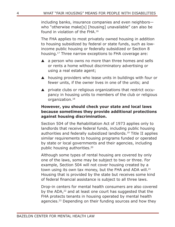including banks, insurance companies and even neighbors who "otherwise make[s] [housing] unavailable" can also be found in violation of the FHA.16

The FHA applies to most privately owned housing in addition to housing subsidized by federal or state funds, such as lowincome public housing or federally subsidized or Section 8 housing.17 Three narrow exceptions to FHA coverage are:

- $\blacktriangle$  a person who owns no more than three homes and sells or rents a home without discriminatory advertising or using a real estate agent;
- ▲ housing providers who lease units in buildings with four or fewer units, if the owner lives in one of the units; and
- **A** private clubs or religious organizations that restrict occupancy in housing units to members of the club or religious organization.<sup>18</sup>

# **However, you should check your state and local laws because sometimes they provide additional protections against housing discrimination.**

Section 504 of the Rehabilitation Act of 1973 applies only to landlords that receive federal funds, including public housing authorities and federally subsidized landlords.19 Title II applies similar requirements to housing programs funded or operated by state or local governments and their agencies, including public housing authorities.20

Although some types of rental housing are covered by only one of the laws, some may be subject to two or three. For example, Section 504 will not cover housing created by a town using its own tax money, but the FHA and ADA will.<sup>21</sup> Housing that is provided by the state but receives some kind of federal financial assistance is subject to all three laws.

Drop-in centers for mental health consumers are also covered by the ADA,<sup>22</sup> and at least one court has suggested that the FHA protects tenants in housing operated by mental health agencies.<sup>23</sup> Depending on their funding sources and how they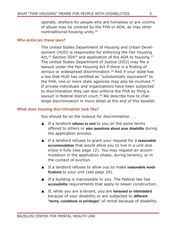operate, shelters for people who are homeless or are victims of abuse may be covered by the FHA or ADA, as may other nontraditional housing units.24

### **Who enforces these laws?**

The United States Department of Housing and Urban Development (HUD) is responsible for enforcing the Fair Housing Act,<sup>25</sup> Section 504<sup>26</sup> and application of the ADA to housing.<sup>27</sup> The United States Department of Justice (DOJ) may file a lawsuit under the Fair Housing Act if there is a finding of serious or widespread discrimination.<sup>28</sup> And if your state has a law that HUD has certified as "substantially equivalent" to the FHA, one or more state agencies may also be involved.<sup>29</sup> If private individuals and organizations have been subjected to discrimination they can also enforce the FHA by filing a lawsuit in federal district court.30 We describe how to challenge discrimination in more detail at the end of this booklet.

### **What does housing discrimination look like?**

You should be on the lookout for discrimination. . .

- $\blacktriangle$  If a landlord refuses to rent to you on the same terms offered to others or asks questions about your disability during the application process.
- ▲ If a landlord refuses to grant your request for a reasonable accommodation that would allow you to live in a unit and enjoy it fully (see page 12). You may request an accommodation in the application phase, during tenancy, or in the context of eviction.
- ▲ If a landlord refuses to allow you to make reasonable modifications to your unit (see page 24).
- $\blacktriangle$  If a building is inaccessible to you. The federal law has accessibility requirements that apply to newer construction.
- ▲ If, while you are a tenant, you are harassed or intimidated because of your disability or are subjected to different "terms, conditions or privileges" of rental because of disability.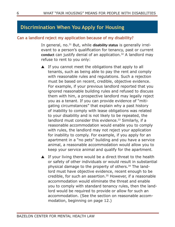# **Discrimination When You Apply for Housing**

## **Can a landlord reject my application because of my disability?**

In general, no.<sup>31</sup> But, while disability status is generally irrelevant to a person's qualification for tenancy, past or current conduct can justify denial of an application.<sup>32</sup> A landlord may refuse to rent to you only:

- $\blacktriangle$  If you cannot meet the obligations that apply to all tenants, such as being able to pay the rent and comply with reasonable rules and regulations. Such a rejection must be based on recent, credible, objective evidence. For example, if your previous landlord reported that you ignored reasonable building rules and refused to discuss them with him, a prospective landlord may legally reject you as a tenant. If you can provide evidence of "mitigating circumstances" that explain why a past history of inability to comply with lease obligations was related to your disability and is not likely to be repeated, the landlord must consider this evidence.<sup>33</sup> Similarly, if a reasonable accommodation would enable you to comply with rules, the landlord may not reject your application for inability to comply. For example, if you apply for an apartment in a "no pets" building and you have a service animal, a reasonable accommodation would allow you to keep your service animal and qualify for the apartment.
- $\blacktriangle$  If your living there would be a direct threat to the health or safety of other individuals or would result in substantial physical damage to the property of others.<sup>34</sup> The landlord must have objective evidence, recent enough to be credible, for such an assertion.<sup>35</sup> However, if a reasonable accommodation would eliminate the threat and enable you to comply with standard tenancy rules, then the landlord would be required to provide or allow for such an accommodation. (See the section on reasonable accommodation, beginning on page 12.)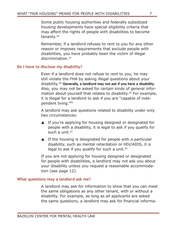Some public housing authorities and federally subsidized housing developments have special eligibility criteria that may affect the rights of people with disabilities to become tenants<sup>36</sup>

Remember, if a landlord refuses to rent to you for any other reason or imposes requirements that exclude people with disabilities, you have probably been the victim of illegal discrimination.37

# **Do I have to disclose my disability?**

Even if a landlord does not refuse to rent to you, he may still violate the FHA by asking illegal questions about your disability.38 Generally, a landlord may not ask if you have a disability. Also, you may not be asked for certain kinds of general information about yourself that relates to disability.<sup>39</sup> For example, it is illegal for a landlord to ask if you are "capable of independent living."40

A landlord may ask questions related to disability under only two circumstances:

- ▲ If you're applying for housing designed or designated for people with a disability, it is legal to ask if you qualify for such a unit. $41$
- $\blacktriangle$  If the housing is designated for people with a particular disability, such as mental retardation or HIV/AIDS, it is legal to ask if you qualify for such a unit.<sup>42</sup>

If you are not applying for housing designed or designated for people with disabilities, a landlord may not ask you about your disability unless you request a reasonable accommodation (see page 12).

# **What questions may a landlord ask me?**

A landlord may ask for information to show that you can meet the same obligations as any other tenant, with or without a disability. For example, as long as *all* applicants are asked the same questions, a landlord may ask for financial informa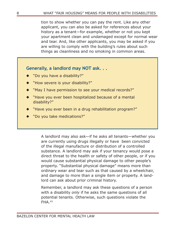tion to show whether you can pay the rent. Like any other applicant, you can also be asked for references about your history as a tenant—for example, whether or not you kept your apartment clean and undamaged except for normal wear and tear. And, like other applicants, you may be asked if you are willing to comply with the building's rules about such things as cleanliness and no smoking in common areas.

# **Generally, a landlord may NOT ask...**

- "Do you have a disability?"
- "How severe is your disability?"
- "May I have permission to see your medical records?"
- "Have you ever been hospitalized because of a mental disability?"
- "Have you ever been in a drug rehabilitation program?"
- "Do you take medications?"

A landlord may also ask—if he asks all tenants—whether you are currently using drugs illegally or have been convicted of the illegal manufacture or distribution of a controlled substance. A landlord may ask if your tenancy would pose a direct threat to the health or safety of other people, or if you would cause substantial physical damage to other people's property. "Substantial physical damage" means more than ordinary wear and tear such as that caused by a wheelchair, and damage to more than a single item or property. A landlord can ask about prior criminal history.

Remember, a landlord may ask these questions of a person with a disability *only* if he asks the same questions of all potential tenants. Otherwise, such questions violate the FHA.43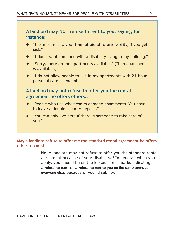

- ◆ "I cannot rent to you. I am afraid of future liability, if you get sick."
- ◆ "I don't want someone with a disability living in my building."
- ◆ "Sorry, there are no apartments available." (If an apartment *is* available.)
- ◆ "I do not allow people to live in my apartments with 24-hour personal care attendants."

# **A landlord may not refuse to offer you the rental agreement he offers others...**

- "People who use wheelchairs damage apartments. You have to leave a double security deposit."
- "You can only live here if there is someone to take care of you."

# **May a landlord refuse to offer me the standard rental agreement he offers other tenants?**

No. A landlord may not refuse to offer you the standard rental agreement because of your disability.<sup>44</sup> In general, when you apply, you should be on the lookout for remarks indicating a refusal to rent, or a refusal to rent to you on the same terms as everyone else, because of your disability.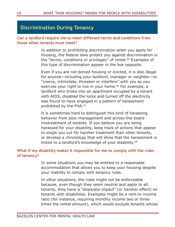# **Discrimination During Tenancy**

# **Can a landlord require me to meet different terms and conditions from those other tenants must meet?**

In addition to prohibiting discrimination when you apply for housing, the federal laws protect you against discrimination in the "terms, conditions or privileges" of rental.45 Examples of this type of discrimination appear in the box opposite.

Even if you are not denied housing or evicted, it is also illegal for anyone—including your landlord, manager or neighbor—to "coerce, intimidate, threaten or interfere" with you as you exercise your right to live in your home.<sup>46</sup> For example, a landlord who broke into an apartment occupied by a tenant with AIDS, disabled the locks and turned off the electricity was found to have engaged in a pattern of harassment prohibited by the FHA.47

It is sometimes hard to distinguish this kind of harassing behavior from poor management and across-the-board mistreatment of tenants. If you believe you are being harassed for your disability, keep track of actions that appear to single you out for harsher treatment than other tenants, or develop a chronology that will show that the harassment is linked to a landlord's knowledge of your disability.<sup>48</sup>

# **What if my disability makes it impossible for me to comply with the rules of tenancy?**

In some situations you may be entitled to a reasonable accommodation that allows you to keep your housing despite your inability to comply with tenancy rules.

In other situations, the rules might not be enforceable because, even though they seem neutral and apply to all tenants, they have a "disparate impact" (or harsher effect) on tenants with disabilities. Examples might be a rent-to-income ratio (for instance, requiring monthly income two or three times the rental amount), which would exclude tenants whose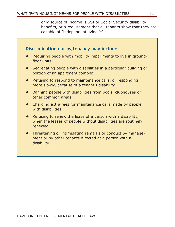only source of income is SSI or Social Security disability benefits, or a requirement that all tenants show that they are capable of "independent living."49

| floor units                                                                                                                           |
|---------------------------------------------------------------------------------------------------------------------------------------|
| Segregating people with disabilities in a particular building or<br>portion of an apartment complex                                   |
| Refusing to respond to maintenance calls, or responding<br>more slowly, because of a tenant's disability                              |
| Banning people with disabilities from pools, clubhouses or<br>other common areas                                                      |
| • Charging extra fees for maintenance calls made by people<br>with disabilities                                                       |
| Refusing to renew the lease of a person with a disability,<br>when the leases of people without disabilities are routinely<br>renewed |
| Threatening or intimidating remarks or conduct by manage-<br>ment or by other tenants directed at a person with a<br>disability.      |
|                                                                                                                                       |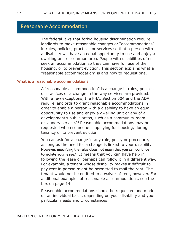# **Reasonable Accommodation**

The federal laws that forbid housing discrimination require landlords to make reasonable changes or "accommodations" in rules, policies, practices or services so that a person with a disability will have an equal opportunity to use and enjoy a dwelling unit or common area. People with disabilities often seek an accommodation so they can have full use of their housing, or to prevent eviction. This section explains what a "reasonable accommodation" is and how to request one.

### **What is a reasonable accommodation?**

A "reasonable accommodation" is a change in rules, policies or practices or a change in the way services are provided. With a few exceptions, the FHA, Section 504 and the ADA require landlords to grant reasonable accommodations in order to enable a person with a disability to have an equal opportunity to use and enjoy a dwelling unit or any of a development's public areas, such as a community room or laundry service.<sup>50</sup> Reasonable accommodations may be requested when someone is applying for housing, during tenancy or to prevent eviction.

You can ask for a change in any rule, policy or procedure, as long as the need for a change is linked to your disability. However, modifying the rules does not mean that you can continue to violate your lease.<sup>51</sup> It means that you can have help in following the lease or perhaps can follow it in a different way. For example, a tenant whose disability makes it difficult to pay rent in person might be permitted to mail the rent. The tenant would not be entitled to a waiver of rent, however. For additional examples of reasonable accommodations, see the box on page 14.

Reasonable accommodations should be requested and made on an individual basis, depending on your disability and your particular needs and circumstances.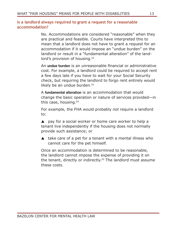# **Is a landlord always required to grant a request for a reasonable accommodation?**

No. Accommodations are considered "reasonable" when they are practical and feasible. Courts have interpreted this to mean that a landlord does not have to grant a request for an accommodation if it would impose an "undue burden" on the landlord or result in a "fundamental alteration" of the landlord's provision of housing.<sup>52</sup>

An undue burden is an unreasonable financial or administrative cost. For example, a landlord could be required to accept rent a few days late if you have to wait for your Social Security check, but requiring the landlord to forgo rent entirely would likely be an undue burden. $53$ 

A fundamental alteration is an accommodation that would change the basic operation or nature of services provided—in this case, housing. $54$ 

For example, the FHA would probably *not* require a landlord to:

▲ pay for a social worker or home care worker to help a tenant live independently if the housing does not normally provide such assistance; or

 $\blacktriangle$  take care of a pet for a tenant with a mental illness who cannot care for the pet himself.

Once an accommodation is determined to be reasonable, the landlord cannot impose the expense of providing it on the tenant, directly or indirectly.<sup>55</sup> The landlord must assume these costs.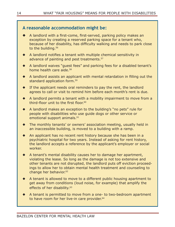# **A reasonable accommodation might be:**

- A landlord with a first-come, first-served, parking policy makes an exception by creating a reserved parking space for a tenant who, because of her disability, has difficulty walking and needs to park close to the building.<sup>56</sup>
- A landlord notifies a tenant with multiple chemical sensitivity in advance of painting and pest treatments.<sup>57</sup>
- A landlord waives "guest fees" and parking fees for a disabled tenant's home health care aide.<sup>58</sup>
- A landlord assists an applicant with mental retardation in filling out the standard application form.<sup>59</sup>
- If the applicant needs oral reminders to pay the rent, the landlord agrees to call or visit to remind him before each month's rent is due.
- A landlord permits a tenant with a mobility impairment to move from a third-floor unit to the first floor.<sup>60</sup>
- A landlord makes an exception to the building's "no pets" rule for people with disabilities who use guide dogs or other service or emotional support animals.<sup>61</sup>
- The monthly tenants' or owners' association meeting, usually held in an inaccessible building, is moved to a building with a ramp.
- An applicant has no recent rent history because she has been in a psychiatric hospital for two years. Instead of asking for rent history, the landlord accepts a reference by the applicant's employer or social worker.
- A tenant's mental disability causes her to damage her apartment, violating the lease. So long as the damage is not too extensive and other tenants are not disrupted, the landlord puts off eviction proceedings to allow her to obtain mental health treatment and counseling to change her behavior.<sup>62</sup>
- A tenant is allowed to move to a different public housing apartment to get away from conditions (loud noise, for example) that amplify the effects of her disability.<sup>63</sup>
- A tenant is permitted to move from a one- to two-bedroom apartment to have room for her live-in care provider.<sup>64</sup>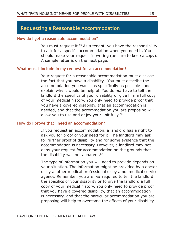# **Requesting a Reasonable Accommodation**

#### **How do I get a reasonable accommodation?**

You must request it.<sup>65</sup> As a tenant, you have the responsibility to ask for a specific accommodation when you need it. You should make your request in writing (be sure to keep a copy). A sample letter is on the next page.

### **What must I include in my request for an accommodation?**

Your request for a reasonable accommodation must disclose the fact that you have a disability. You must describe the accommodation you want—as specifically as possible—and explain why it would be helpful. You do *not* have to tell the landlord the specifics of your disability or give him a full copy of your medical history. You only need to provide proof that you have a covered disability, that an accommodation is needed, and that the accommodation you are proposing will allow you to use and enjoy your unit fully.<sup>66</sup>

### **How do I prove that I need an accommodation?**

If you request an accommodation, a landlord has a right to ask you for proof of your need for it. The landlord may ask for further proof of disability and for some evidence that the accommodation is necessary. However, a landlord may not deny your request for accommodation on the grounds that the disability was not apparent. $67$ 

The type of information you will need to provide depends on your situation. The information might be provided by a doctor or by another medical professional or by a nonmedical service agency. Remember, you are *not* required to tell the landlord the specifics of your disability or to give the landlord a full copy of your medical history. You only need to provide proof that you have a covered disability, that an accommodation is necessary, and that the particular accommodation you are proposing will help to overcome the effects of your disability.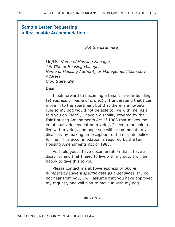| <b>Sample Letter Requesting</b><br>a Reasonable Accommodation |                                                                                                                                                                                                                                                                                                                                                                                                                                                                                                                                                                                                                      |  |
|---------------------------------------------------------------|----------------------------------------------------------------------------------------------------------------------------------------------------------------------------------------------------------------------------------------------------------------------------------------------------------------------------------------------------------------------------------------------------------------------------------------------------------------------------------------------------------------------------------------------------------------------------------------------------------------------|--|
|                                                               | [Put the date here]                                                                                                                                                                                                                                                                                                                                                                                                                                                                                                                                                                                                  |  |
| <b>Address</b>                                                | Mr./Ms. Name of Housing Manager<br>Job Title of Housing Manager<br>Name of Housing Authority or Management Company<br>City, State, Zip                                                                                                                                                                                                                                                                                                                                                                                                                                                                               |  |
| Dear                                                          |                                                                                                                                                                                                                                                                                                                                                                                                                                                                                                                                                                                                                      |  |
|                                                               | I look forward to becoming a tenant in your building<br>[at address or name of project]. I understand that I can<br>move in to the apartment but that there is a no-pets<br>rule so my dog would not be able to live with me. As I<br>told you on [date], I have a disability covered by the<br>Fair Housing Amendments Act of 1988 that makes me<br>emotionally dependent on my dog. I need to be able to<br>live with my dog, and hope you will accommodate my<br>disability by making an exception to the no-pets policy<br>for me. This accommodation is required by the Fair<br>Housing Amendments Act of 1988. |  |
|                                                               | As I told you, I have documentation that I have a<br>disability and that I need to live with my dog. I will be<br>happy to give this to you.                                                                                                                                                                                                                                                                                                                                                                                                                                                                         |  |
|                                                               | Please contact me at [give address or phone<br>number] by [give a specific date as a deadline]. If I do<br>not hear from you, I will assume that you have approved<br>my request, and will plan to move in with my dog.                                                                                                                                                                                                                                                                                                                                                                                              |  |
|                                                               | Sincerely,                                                                                                                                                                                                                                                                                                                                                                                                                                                                                                                                                                                                           |  |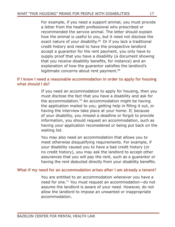For example, if you need a support animal, you must provide a letter from the health professional who prescribed or recommended the service animal. The letter should explain how the animal is useful to you, but it need not disclose the exact nature of your disability.<sup>68</sup> Or if you lack a traditional credit history and need to have the prospective landlord accept a guarantor for the rent payment, you only have to supply proof that you have a disability (a document showing that you receive disability benefits, for instance) and an explanation of how the guarantor satisfies the landlord's legitimate concerns about rent payment.<sup>69</sup>

# **If I know I need a reasonable accommodation in order to apply for housing what should I do?**

If you need an accommodation to apply for housing, then you must disclose the fact that you have a disability and ask for the accommodation.70 An accommodation might be having the application mailed to you, getting help in filling it out, or having the interview take place at your home. If, because of your disability, you missed a deadline or forgot to provide information, you should request an accommodation, such as having your application reconsidered or being put back on the waiting list.

You may also need an accommodation that allows you to meet otherwise disqualifying requirements. For example, if your disability caused you to have a bad credit history (or no credit history), you may ask the landlord to accept other assurances that you will pay the rent, such as a guarantor or having the rent deducted directly from your disability benefits.

### **What if my need for an accommodation arises after I am already a tenant?**

You are entitled to an accommodation *whenever* you have a need for one.71 You must request an accommodation—do not assume the landlord is aware of your need. However, do not allow the landlord to impose an unwanted or inappropriate accommodation.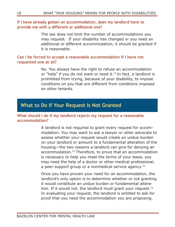## **If I have already gotten an accommodation, does my landlord have to provide me with a different or additional one?**

The law does not limit the number of accommodations you may request. If your disability has changed or you need an additional or different accommodation, it should be granted if it is reasonable.

# **Can I be forced to accept a reasonable accommodation if I have not requested one at all?**

No. You always have the right to refuse an accommodation or "help" if you do not want or need it.<sup>72</sup> In fact, a landlord is prohibited from trying, because of your disability, to impose conditions on you that are different from conditions imposed on other tenants.

# **What to Do If Your Request Is Not Granted**

# **What should I do if my landlord rejects my request for a reasonable accommodation?**

A landlord is not required to grant every request for accommodation. You may want to ask a lawyer or other advocate to assess whether your request would create an undue burden on your landlord or amount to a fundamental alteration of the housing—the two reasons a landlord can give for denying an accommodation.<sup>73</sup> Therefore, to prove that an accommodation is necessary to help you meet the terms of your lease, you may need the help of a doctor or other medical professional, a peer-support group or a nonmedical service agency.<sup>74</sup>

Once you have proven your need for an accommodation, the landlord's only option is to determine whether or not granting it would constitute an undue burden or fundamental alteration. If it would not, the landlord must grant your request.<sup>75</sup> In evaluating your request, the landlord is entitled to ask for proof that you need the accommodation you are proposing.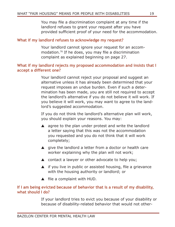You may file a discrimination complaint at any time if the landlord refuses to grant your request after you have provided sufficient proof of your need for the accommodation.

# **What if my landlord refuses to acknowledge my request?**

Your landlord cannot ignore your request for an accommodation.76 If he does, you may file a discrimination complaint as explained beginning on page 27.

# **What if my landlord rejects my proposed accommodation and insists that I accept a different one?**

Your landlord cannot reject your proposal and suggest an alternative unless it has already been determined that your request imposes an undue burden. Even if such a determination has been made, you are still not required to accept the landlord's alternative if you do not believe it will work. If you believe it will work, you may want to agree to the landlord's suggested accommodation.

If you do not think the landlord's alternative plan will work, you should explain your reasons. You may:

- $\triangle$  agree to the plan under protest and write the landlord a letter saying that this was not the accommodation you requested and you do not think that it will work completely;
- ▲ give the landlord a letter from a doctor or health care worker explaining why the plan will not work;
- ▲ contact a lawyer or other advocate to help you;
- $\blacktriangle$  if you live in public or assisted housing, file a grievance with the housing authority or landlord; or
- ▲ file a complaint with HUD.

# **If I am being evicted because of behavior that is a result of my disability, what should I do?**

If your landlord tries to evict you because of your disability or because of disability-related behavior that would not other-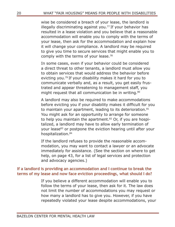wise be considered a breach of your lease, the landlord is illegally discriminating against you.<sup>77</sup> If your behavior has resulted in a lease violation and you believe that a reasonable accommodation will enable you to comply with the terms of your lease, then ask for the accommodation and explain how it will change your compliance. A landlord may be required to give you time to secure services that might enable you to comply with the terms of your lease.<sup>78</sup>

In some cases, even if your behavior could be considered a direct threat to other tenants, a landlord must allow you to obtain services that would address the behavior before evicting you.<sup>79</sup> If your disability makes it hard for you to communicate verbally and, as a result, you get easily frustrated and appear threatening to management staff, you might request that all communication be in writing.<sup>80</sup>

A landlord may also be required to make accommodations before evicting you if your disability makes it difficult for you to maintain your apartment, leading to its deterioration.<sup>81</sup> You might ask for an opportunity to arrange for someone to help you maintain the apartment.<sup>82</sup> Or, if you are hospitalized, a landlord may have to allow early termination of your lease<sup>83</sup> or postpone the eviction hearing until after your hospitalization.<sup>84</sup>

If the landlord refuses to provide the reasonable accommodation, you may want to contact a lawyer or an advocate immediately for assistance. (See the section on where to get help, on page 43, for a list of legal services and protection and advocacy agencies.)

# **If a landlord is providing an accommodation and I continue to break the terms of my lease and now face eviction proceedings, what should I do?**

If you believe a different accommodation will enable you to follow the terms of your lease, then ask for it. The law does not limit the number of accommodations you may request or how many a landlord has to give you. However, if you have repeatedly violated your lease despite accommodations, your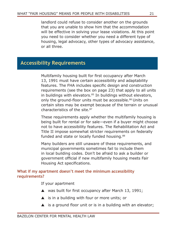landlord could refuse to consider another on the grounds that you are unable to show him that the accommodation will be effective in solving your lease violations. At this point you need to consider whether you need a different type of housing, legal advocacy, other types of advocacy assistance, or all three.

# **Accessibility Requirements**

Multifamily housing built for first occupancy after March 13, 1991 must have certain accessibility and adaptability features. The FHA includes specific design and construction requirements (see the box on page 23) that apply to all units in buildings with elevators. $85$  In buildings without elevators, only the ground-floor units must be accessible.<sup>86</sup> Units on certain sites may be exempt because of the terrain or unusual characteristics of the site.87

These requirements apply whether the multifamily housing is being built for rental or for sale—even if a buyer might choose not to have accessibility features. The Rehabilitation Act and Title II impose somewhat stricter requirements on federally funded and state or locally funded housing.<sup>88</sup>

Many builders are still unaware of these requirements, and municipal governments sometimes fail to include them in local building codes. Don't be afraid to ask a builder or government official if new multifamily housing meets Fair Housing Act specifications.

# **What if my apartment doesn't meet the minimum accessibility requirements?**

If your apartment

- ▲ was built for first occupancy after March 13, 1991;
- ▲ is in a building with four or more units; or
- $\blacktriangle$  is a ground floor unit or is in a building with an elevator;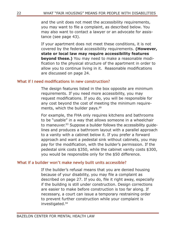and the unit does not meet the accessibility requirements, you may want to file a complaint, as described below. You may also want to contact a lawyer or an advocate for assistance (see page 43).

If your apartment does not meet these conditions, it is not covered by the federal accessibility requirements. **(However, state or local law may require accessibility features beyond these.)** You may need to make a reasonable modification to the physical structure of the apartment in order to allow you to continue living in it. Reasonable modifications are discussed on page 24.

### **What if I need modifications in new construction?**

The design features listed in the box opposite are minimum requirements. If you need more accessibility, you may request modifications. If you do, you will be responsible for any cost beyond the cost of meeting the minimum requirements, which the builder pays.<sup>89</sup>

For example, the FHA only requires kitchens and bathrooms to be "usable" in a way that allows someone in a wheelchair to maneuver.<sup>93</sup> Suppose a builder follows the accessibility quidelines and produces a bathroom layout with a parallel approach to a vanity with a cabinet below it. If you prefer a forward approach and want a pedestal sink without cabinets, you may pay for the modification, with the builder's permission. If the pedestal sink costs \$350, while the cabinet vanity costs \$300, you would be responsible only for the \$50 difference.

# **What if a builder won't make newly built units accessible?**

If the builder's refusal means that you are denied housing because of your disability, you may file a complaint as described on page 27. If you do, file it right away, especially if the building is still under construction. Design corrections are easier to make before construction is too far along. If necessary, a court can issue a temporary restraining order to prevent further construction while your complaint is investigated.94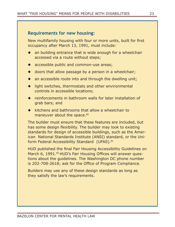# **Requirements for new housing:**

New multifamily housing with four or more units, built for first occupancy after March 13, 1991, must include:

- an building entrance that is wide enough for a wheelchair accessed via a route without steps;
- ◆ accessible public and common-use areas;
- $\bullet$  doors that allow passage by a person in a wheelchair;
- ◆ an accessible route into and through the dwelling unit;
- ◆ light switches, thermostats and other environmental controls in accessible locations;
- reinforcements in bathroom walls for later installation of grab bars; and
- $\bullet$  kitchens and bathrooms that allow a wheelchair to maneuver about the space.<sup>90</sup>

The builder must ensure that these features are included, but has some design flexibility. The builder may look to existing standards for design of accessible buildings, such as the American National Standards Institute (ANSI) standard, or the Uniform Federal Accessibility Standard (UFAS).<sup>91</sup>

HUD published the final Fair Housing Accessibility Guidelines on March 6, 1991.<sup>92</sup> HUD's Fair Housing Offices will answer questions about the guidelines. The Washington DC phone number is 202-708-2618; ask for the Office of Program Compliance.

Builders may use any of these design standards as long as they satisfy the law's requirements.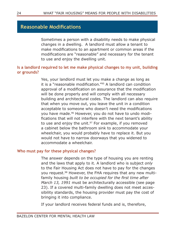# **Reasonable Modifications**

Sometimes a person with a disability needs to make physical changes in a dwelling. A landlord must allow a tenant to make modifications to an apartment or common areas if the modifications are "reasonable" and necessary for the tenant to use and enjoy the dwelling unit.

# **Is a landlord required to let me make physical changes to my unit, building or grounds?**

Yes, your landlord must let you make a change as long as it is a "reasonable modification."95 A landlord can condition approval of a modification on assurance that the modification will be done properly and will comply with all necessary building and architectural codes. The landlord can also require that when you move out, you leave the unit in a condition acceptable to someone who doesn't need the modifications you have made.96 However, you do not have to undo modifications that will not interfere with the next tenant's ability to use and enjoy the unit. $97$  For example, if you removed a cabinet below the bathroom sink to accommodate your wheelchair, you would probably have to replace it. But you would not have to narrow doorways that you widened to accommodate a wheelchair.

# **Who must pay for these physical changes?**

The answer depends on the type of housing you are renting and the laws that apply to it. A landlord who is subject *only*  to the Fair Housing Act does not have to pay for the changes you request.98 However, the FHA requires that any new multifamily housing *built to be occupied for the first time after March 13, 1991* must be architecturally accessible (see page 23). If a covered multi-family dwelling does not meet accessibility standards, the housing provider must pay the cost of bringing it into compliance.

If your landlord receives federal funds and is, therefore,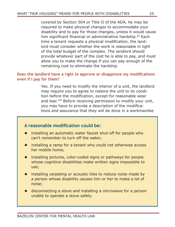covered by Section 504 or Title II of the ADA, he may be required to make physical changes to accommodate your disability and to pay for those changes, unless it would cause him significant financial or administrative hardship.<sup>99</sup> Each time a tenant requests a physical modification, the landlord must consider whether the work is reasonable in light of the total budget of the complex. The landlord should provide whatever part of the cost he is able to pay, and must allow you to make the change if you can pay enough of the remaining cost to eliminate the hardship.

# **Does the landlord have a right to approve or disapprove my modifications even if I pay for them?**

Yes. If you need to modify the interior of a unit, the landlord may require you to agree to restore the unit to its condition before the modification, except for reasonable wear and tear.<sup>100</sup> Before receiving permission to modify your unit, you may have to provide a description of the modifications and assurance that they will be done in a workmanlike

# **A reasonable modification could be:**

- installing an automatic water faucet shut-off for people who can't remember to turn off the water;
- ◆ installing a ramp for a tenant who could not otherwise access her mobile home;
- ◆ installing pictures, color-coded signs or pathways for people whose cognitive disabilities make written signs impossible to use;
- installing carpeting or acoustic tiles to reduce noise made by a person whose disability causes him or her to make a lot of noise;
- disconnecting a stove and installing a microwave for a person unable to operate a stove safely.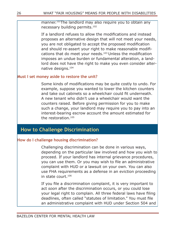manner.<sup>101</sup>The landlord may also require you to obtain any necessary building permits.102

If a landlord refuses to allow the modifications and instead proposes an alternative design that will not meet your needs, you are not obligated to accept the proposed modification and should re-assert your right to make reasonable modifications that do meet your needs.<sup>103</sup> Unless the modification imposes an undue burden or fundamental alteration, a landlord does not have the right to make you even consider alternative designs.104

# **Must I set money aside to restore the unit?**

Some kinds of modifications may be quite costly to undo. For example, suppose you wanted to lower the kitchen counters and take out cabinets so a wheelchair could fit underneath. A new tenant who didn't use a wheelchair would want the counters raised. Before giving permission for you to make such a change, your landlord may require you to pay into an interest-bearing escrow account the amount estimated for the restoration.105

# **How to Challenge Discrimination**

# **How do I challenge housing discrimination?**

Challenging discrimination can be done in various ways, depending on the particular law involved and how you wish to proceed. If your landlord has internal grievance procedures, you can use them. Or you may wish to file an administrative complaint with HUD or a lawsuit on your own. You can also use FHA requirements as a defense in an eviction proceeding in state court.106

If you file a discrimination complaint, it is very important to act *soon* after the discrimination occurs, or you could lose your legal right to complain. All three federal laws have filing deadlines, often called "statutes of limitation." You must file an administrative complaint with HUD under Section 504 and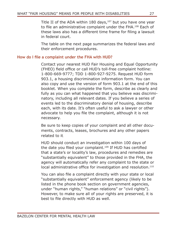Title II of the ADA within 180 days, $107$  but you have one year to file an administrative complaint under the FHA.<sup>108</sup> Each of these laws also has a different time frame for filing a lawsuit in federal court.

The table on the next page summarizes the federal laws and their enforcement procedures.

# **How do I file a complaint under the FHA with HUD?**

Contact your nearest HUD Fair Housing and Equal Opportunity (FHEO) field office or call HUD's toll-free complaint hotline: 1-800-669-9777; TDD 1-800-927-9275. Request HUD form 903.1, a housing discrimination information form. You can also copy and use the version of form 903.1 at the end of this booklet. When you complete the form, describe as clearly and fully as you can what happened that you believe was discriminatory, including all relevant dates. If you believe a series of events led to the discriminatory denial of housing, describe each, with its date. It's often useful to ask a lawyer or other advocate to help you file the complaint, although it is not necessary.

Be sure to keep copies of your complaint and all other documents, contracts, leases, brochures and any other papers related to it.

HUD should conduct an investigation within 100 days of the date you filed your complaint.<sup>109</sup> If HUD has certified that a state's or locality's law, procedures and remedies are "substantially equivalent" to those provided in the FHA, the agency will automatically refer any complaint to the state or local administrative office for investigation and resolution.<sup>110</sup>

You can also file a complaint directly with your state or local "substantially equivalent" enforcement agency (likely to be listed in the phone book section on government agencies, under "human rights," "human relations" or "civil rights"). However, to make sure all of your rights are preserved, it is best to file directly with HUD as well.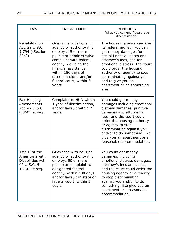| <b>LAW</b>                                                                             | <b>ENFORCEMENT</b>                                                                                                                                                                                                                                                   | <b>REMEDIES</b><br>(what you can get if you prove<br>discrimination)                                                                                                                                                                                                                                                               |
|----------------------------------------------------------------------------------------|----------------------------------------------------------------------------------------------------------------------------------------------------------------------------------------------------------------------------------------------------------------------|------------------------------------------------------------------------------------------------------------------------------------------------------------------------------------------------------------------------------------------------------------------------------------------------------------------------------------|
| Rehabilitation<br>Act, 29 U.S.C.<br>§ 794 ("Section<br>504"                            | Grievance with housing<br>agency or authority if it<br>employs 15 or more<br>people or administrative<br>complaint with federal<br>agency providing the<br>financial assistance,<br>within 180 days of<br>discrimination, and/or<br>federal court, within 3<br>years | The housing agency can lose<br>its federal money; you can<br>get money damages for<br>actual financial losses and<br>attorney's fees, and for<br>emotional distress. The court<br>could order the housing<br>authority or agency to stop<br>discriminating against you<br>and to give you an<br>apartment or do something<br>else. |
| Fair Housing<br>Amendments<br>Act, 42 U.S.C.<br>§ 3601 et seq.                         | Complaint to HUD within<br>1 year of discrimination,<br>and/or lawsuit within 2<br>years                                                                                                                                                                             | You could get money<br>damages including emotional<br>distress damages, punitive<br>damages and attorney's<br>fees, and the court could<br>order the housing authority<br>or agency to stop<br>discriminating against you<br>and/or to do something, like<br>give you an apartment or a<br>reasonable accommodation.               |
| Title II of the<br>Americans with<br>Disabilities Act,<br>42 U.S.C. §<br>12101 et seq. | Grievance with housing<br>agency or authority if it<br>employs 50 or more<br>people or complaint to<br>designated federal<br>agency, within 180 days,<br>and/or lawsuit in state or<br>federal court, within 3<br>years                                              | You could get money<br>damages, including<br>emotional distress damages,<br>attorney's fees and costs,<br>and the court could order the<br>housing agency or authority<br>to stop discriminating<br>against you and/or to do<br>something, like give you an<br>apartment or a reasonable<br>accommodation.                         |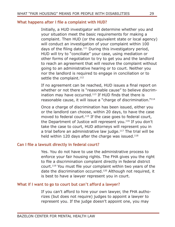## **What happens after I file a complaint with HUD?**

Initially, a HUD investigator will determine whether you and your situation meet the basic requirements for making a complaint. Then HUD (or the equivalent state or local agency) will conduct an investigation of your complaint within 100 days of the filing date.<sup>111</sup> During this investigatory period, HUD will try to "conciliate" your case, using mediation or other forms of negotiation to try to get you and the landlord to reach an agreement that will resolve the complaint without going to an administrative hearing or to court. Neither you nor the landlord is required to engage in conciliation or to settle the complaint.<sup>112</sup>

If no agreement can be reached, HUD issues a final report on whether or not there is "reasonable cause" to believe discrimination may have occurred.<sup>113</sup> If HUD finds that there is reasonable cause, it will issue a "charge of discrimination."114

Once a charge of discrimination has been issued, either you or the landlord can choose, within 20 days, to have the case moved to federal court.<sup>115</sup> If the case goes to federal court, the Department of Justice will represent you.<sup>116</sup> If you don't take the case to court, HUD attorneys will represent you in a trial before an administrative law judge. $117$  The trial will be held within 120 days after the charge was issued.<sup>118</sup>

### **Can I file a lawsuit directly in federal court?**

Yes. You do not have to use the administrative process to enforce your fair housing rights. The FHA gives you the right to file a discrimination complaint directly in federal district court.119 You must file your complaint within two years of the date the discrimination occurred.<sup>120</sup> Although not required, it is best to have a lawyer represent you in court.

#### **What if I want to go to court but can't afford a lawyer?**

If you can't afford to hire your own lawyer, the FHA authorizes (but does not require) judges to appoint a lawyer to represent you. If the judge doesn't appoint one, you may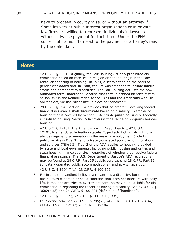have to proceed in court *pro se*, or without an attorney.<sup>121</sup> Some lawyers at public-interest organizations or in private law firms are willing to represent individuals in lawsuits without advance payment for their time. Under the FHA, successful claims often lead to the payment of attorney's fees by the defendant.

# **Notes**

- 1 42 U.S.C. § 3601. Originally, the Fair Housing Act only prohibited discrimination based on race, color, religion or national origin in the sale, rental or financing of housing. In 1974, discrimination on the basis of gender was added and, in 1988, the Act was amended to include familial status and persons with disabilities. The Fair Housing Act uses the nowoutmoded term "handicap." Because that term is defined identically with "disability" in the Rehabilitation Act of 1973 and the Americans with Disabilities Act, we use "disability" in place of "handicap."
- 2 29 U.S.C. § 794. Section 504 provides that no program receiving federal financial assistance shall discriminate based on disability. Examples of housing that is covered by Section 504 include public housing or federally subsidized housing. Section 504 covers a wide range of programs besides housing.
- 3 42 U.S.C. § 12131. The Americans with Disabilities Act, 42 U.S.C. § 12101*,* is an antidiscrimination statute. It protects individuals with disabilities against discrimination in the areas of employment (Title I), public services (Title II), and privately-operated public accommodations and services (Title III). Title II of the ADA applies to housing provided by state and local governments, including public housing authorities and state housing finance agencies, regardless of whether they receive federal financial assistance. The U.S. Department of Justice's ADA regulations may be found at 28 C.F.R. Part 35 (public services)and 28 C.F.R. Part 36 (privately operated public accommodations), and at www.ada.gov.
- 4 42 U.S.C. § 3604(f)(1); 28 C.F.R. § 100.202.
- 5 For instance, a landlord believes a tenant has a disability, but the tenant has no such condition or has a condition that does not interfere with daily life. If the landlord tries to evict this tenant, he may be held liable for discrimination in regarding the tenant as having a disability. See 42 U.S.C. § 3602(h)(3) and 24 C.F.R. § 100.201 (definition of "handicap").
- 6 42 U.S.C. § 3602(h); 24 C.F.R. § 100.201 (1994).
- 7 For Section 504, see 29 U.S.C. § 706(7); 24 C.F.R. § 8.3. For the ADA, see 42 U.S.C. § 12102; 28 C.F.R. § 35.104.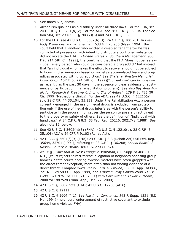- 8 See notes 6-7, above.
- 9 Alcoholism qualifies as a disability under all three laws. For the FHA, see 24 C.F.R. § 100.201(a)(2). For the ADA, see 28 C.F.R. § 35.104. For Section 504, see 29 U.S.C. § 706(7)(B) and 24 C.F.R. § 8.3.
- 10 For the FHA, see 42 U.S.C. § 3602(h)(3); 24 C.F.R. § 100.201. In *Peabody Properties, Inc. v. Sherman*, 638 N.E.2d 906 (Mass. 1994), the court held that a landlord who evicted a disabled tenant after he was convicted of possession with intent to distribute a controlled substance did not violate the FHA. In *United States v. Southern Management*, 955 F.2d 914 (4th Cir. 1992), the court held that the FHA "does not *per se* exclude...every person who could be considered a drug addict" but instead that "an individual who makes the effort to recover should not be subject to housing discrimination based on society's accumulated fears and prejudices associated with drug addiction." See *Shafer v. Preston Memorial Hosp. Corp*., 107 F. 3d 274 (4th Cir. 1997)("current use" can include use as recently as the past 30 days in the absence of clear evidence of abstinence or participation in a rehabilitation program). See also *Bay Area Addiction Research & Treatment, Inc. v. City of Antioch*, 179 F. 3d 725 (9th Cir. 1999)(Methadone clinics). For the ADA, see 42 U.S.C. § 12210(a), (b); 28 C.F.R. §§ 35.104, 35.131. Under the Rehabilitation Act, a person currently engaged in the use of illegal drugs is excluded from protection only if the use of illegal drugs interferes with the person's ability to participate in the program, or causes the person to pose a direct threat to the property or safety of others. See the definition of "individual with handicaps" at 24 C.F.R. § 8.3; 53 Fed. Reg. 20216, 20217-8 (1988). See also note 12, below.
- 11 See 42 U.S.C. § 3602(h)(3) (FHA); 42 U.S.C. § 12210(d), 28 C.F.R. § 35.104 (ADA); 24 CFR § 9.103 (Rehab Act).
- 12 42 U.S.C. § 3604(f)(9) (FHA); 24 C.F.R. § 8.3 (Rehab Act); 56 Fed. Reg. 35694, 35701 (1991), referring to 28 C.F.R. § 36.208; *School Board of Nassau County v. Arline,* 480 U.S. 273 (1967).
- 13 See, e.g., *Township of West Orange v. Whitman*, 8 F. Supp 2d 408 (D. N.J.) (court rejects "direct threat" allegation of neighbors opposing group homes). State courts hearing eviction matters have often grappled with the direct threat exception, more often than not finding evidence of a direct threat. Compare *Wirtz Realty Corp. v. Freund*, 308 Ill. App. 3d 866, 721 N.E. 2d 589 (Ill. App. 1999) and *Arnold Murray Construction, LLC v. Hicks*, 621 N.W. 2d 171 (S.D. 2001) with *Cornwell and Taylor v. Moore*, 2000 WL1887528 (Minn. App., Dec. 22, 2000).
- 14 42 U.S.C. § 3602 note (FHA); 42 U.S.C. 12208 (ADA).
- 15 42 U.S.C. § 12111.
- 16 42 U.S.C. § 3604(f)(1). See *Martin v. Constance*, 843 F. Supp. 1321 (E.D. Mo. 1994) (neighbors' enforcement of restrictive covenant to exclude group home violated FHA).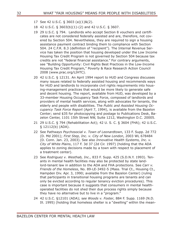- 17 See 42 U.S.C. § 3603 (a)(1)&(2).
- 18 42 U.S.C. § 3603(b)(1)-(2) and 42 U.S.C. § 3607.
- 19 29 U.S.C. § 794. Landlords who accept Section 8 vouchers and certif icates are not considered federally assisted and are, therefore, not covered by Section 504. Nevertheless, they are required to sign a housing assistance payment contract binding them to compliance with Section 504. 24 C.F.R. 8.3 (definition of "recipient"). The Internal Revenue Service has taken the position that housing developed under the Low Income Housing Tax Credit Program is not governed by Section 504 because tax credits are not "federal financial assistance." For contrary arguments, see "Building Opportunity: Civil Rights Best Practices in the Low-Income Housing Tax Credit Program," Poverty & Race Research Action Council 2008 (www.prac.org/LIHTC).
- 20 42 U.S.C. § 12131. An April 1994 report to HUD and Congress discusses many issues related to federally assisted housing and recommends ways for HUD and landlords to incorporate civil rights requirements into housing-management practices that would be more likely to generate safe and decent housing. The report, available from HUD, was developed by a 33-member Housing Occupancy Task Force, composed of landlords and providers of mental health services, along with advocates for tenants, the elderly and people with disabilities. The *Public and Assisted Housing Occupancy Task Force Report* (April 7, 1994), is available from the Bazelon Center; send \$35 for photocopying and postage to Publications Desk, Bazelon Center, 1101 15th Street NW, Suite 1212, Washington D.C. 20005.
- 21 29 U.S.C. § 794 (Rehabilitation Act); 42 U. S. C. § 3604 (FHA); 42 U.S.C. § 12112(b) (ADA).
- 22 See P*athways Psychosocial v. Town of Leonardtown*, 133 F. Supp. 2d 772 (D. Md 2001); *First Step, Inc. v. City of New London*, 2003 WL 678484 (D. Conn. Jan. 23, 2003). See also *Innovative Health Systems, Inc. v. City of White Plains*, 117 F. 3d 37 (2d Cir. 1997) (holding that the ADA applies to zoning decisions made by a town with respect to placement of a treatment center).
- 23 See *Rodriguez v. Westhab, Inc.,* 833 F. Supp. 425 (S.D.N.Y. 1993). Tenants in mental health facilities may also be protected by state landlord-tenant law in addition to the ADA and FHA protections. See *Carr v. Friends of the Homeless*, No. 89-LE-3492-5 (Mass. Trial Ct., Housing Ct., Hampden Div. Apr. 3, 1990; available from the Bazelon Center) (ruling that participants in transitional housing programs are tenants and can only be evicted according to regular tenancy eviction procedures). This case is important because it suggests that consumers in mental healthoperated facilities do not shed their due process rights simply because they have no alternative but to live in a "program."
- 24 42 U.S.C. §12101 (ADA); s*ee Woods v. Foster,* 884 F. Supp. 1169 (N.D. Ill. 1995) (holding that homeless shelter is a "dwelling" within the mean-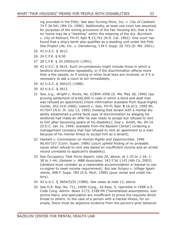ing provided in the FHA). See also T*urning Point, Inc. v. City of Caldwell*, 74 F 3d 941 (9th Cir. 1996). Additionally, at least one court has assumed, for purposes of the zoning provisions of the Fair Housing Act, that a motor home may be a "dwelling" within the meaning of the Act. *Burnham v. City of Rohnert*, FH-FL Rptr ¶ 15,761 (N.D. Cal. 1992). One court has found that a ship's berth also qualifies as a dwelling unit under the FHA. See *Project Life, Inc. v. Glendening*, 139 F. Supp. 2d 703 (D. Md. 2001).

- 25 42 U.S.C. § 3612.
- 26 24 C.F.R. § 8.50
- 27 28 C.F.R. § 35.190(b)(4) (1991).
- 28 42 U.S.C. § 3614. Such circumstances might include those in which a landlord discriminates repeatedly, or if the discrimination affects more than a few people, or if zoning or other local laws are involved, or if it is necessary to ask a court to act immediately.
- 29 42 U.S.C. § 3601(f) (1988).
- 30 42 U.S.C. § 3613.
- 31 See, e.g.*, Wright v. Rocks*, No. CCB94-3506 (D. Md. May 28, 1996) (approving settlement of \$160,000 in case in which a blind and deaf man was refused an apartment) (more information available from Equal Rights Center, 202-319-1000); *Valenti v. Salz*, FH-FL Rptr. ¶ 16,013, 1995 WL 417547 (N.D. Ill. July 13, 1995) (holding that tenant with a mental disability established a prima facie case of discrimination by alleging his landlords had made an offer he was ready to accept but refused to rent to him after becoming aware of his disability); *Doe v. Smith*, No. 94-16 (D.D.C. Jan 14, 1994; available from the Bazelon Center) (ordering a management company that had refused to rent an apartment to a man because of his mental illness to accept him as a tenant).
- 32 *Hackett v. Commission on Human Rights and Opportunities*, 1996 WL457157 (Conn. Super. 1996) (court upheld finding of no probable cause when refusal to rent was based on insufficient income and an arrest record unrelated to applicant's disability).
- 33 See *Occupancy Task Force Report*, note 20, above, at 1-33 to 1-34, 1- 38 to 1-44; *Giebeler v. M&B Associates*, 343 F.3d 1143 (4th Cir. 2003) (landlord must consider as a reasonable accommodation a request to use co-signer to meet income requirement). But see *Schanz v. Village Apartments,* 998 F. Supp. 784 (E.D. Mich. 1998) (poor rental and credit history).
- 34 42 U.S.C. § 3604(f)(9) (1988). See cases at note 13, above.
- 35 See H.R. Rep. No. 711, 100th Cong., 2d Sess. 5, reprinted in 1998 U.S. Code Cong. Admin. News 2173, 2189-90 ("Generalized assumptions, subjective fears, and speculation are insufficient to prove the requisite direct threat to others. In the case of a person with a mental illness, for example, there must be objective evidence from the person's prior behavior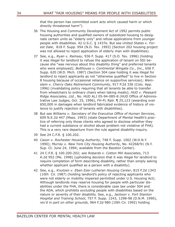that the person has committed overt acts which caused harm or which directly threatened harm").

- 36 The Housing and Community Development Act of 1992 permits public housing authorities and qualified owners of subsidized housing to designate certain units as "elderly only" and refuse applications from younger people with disabilities. 42 U.S.C. § 1437e. But see *United States v. Forest Dale*, 818 F. Supp. 954 (N.D. Tex. 1993) (Section 202 housing project was not allowed to reject application of elderly man with disabilities).
- 37 See, e.g.*, Ryan v. Ramsey*, 936 F. Supp. 417 (S.D. Tex. 1996) (holding it was illegal for landlord to refuse the application of tenant on SSI because she "was nervous about this disability thing" and preferred tenants who were employed); *Bolthouse v. Continental Wingate Co., Inc*., 656 F. Supp. 620 (W.D. Mich. 1987) (Section 504 case holding it was illegal for landlord to reject applicants as not "otherwise qualified" to live in Section 8 housing because of occasional reliance on supportive services); *Weinstein v. Cherry Oaks Retirement Community*, 917 P.2d 336 (Colo. App. 1996) (invalidating policy requiring that all tenants be able to transfer from wheelchairs to ordinary chairs when taking meals); *HUD v. Pleasant Ridge Associates, Ltd.*, No. HUD ALJ 05-94-085-8 (HUD Office of Administrative Law Judges, Oct. 25, 1996), FH-FL Rptr. ¶ 25,123 (awarding over \$50,000 in damages when landlord fabricated evidence of history of violence to justify rejection of tenants with disabilities).
- 38 But see *Williams v. Secretary of the Executive Office of Human Services*, 609 N.E.2d 447 (Mass. 1993) (state Department of Mental Health's practice of referring only those clients who agreed to disclose whether they had a current substance or alcohol abuse problem not violative of FHA). This is a very rare departure from the rule against disability-inquiry.
- 39 See 24 C.F.R. § 100.202.
- 40 *Cason v. Rochester Housing Authority*, 748 F. Supp. 1002 (W.D.N.Y. 1990); *Murray v. New York City Housing Authority*, No. 42268/91 (N.Y. Sup. Ct. June 24, 1994; available from the Bazelon Center).
- 41 24 C.F.R. § 100.200-202; *see Robards v. Cotton Mill Associates*, 713 A.2d 952 (Me. 1998) (upholding decision that it was illegal for landlord to require completion of form describing disability, rather than simply asking whether applicant qualified as a person with a disability).
- 42 See, e.g.*, Knutzen v. Eben Ezer Lutheran Housing Center*, 815 F.2d 1343 (10th Cir. 1987) (holding landlord's policy of rejecting applicants who were not elderly or mobility impaired permitted under U.S. Housing Act). Although landlords may reserve housing for people with particular disabilities under the FHA, there is considerable case law under 504 and the ADA, which prohibits *excluding* people with disabilities based on the nature or severity of their disability. See, e.g.*, Jackson v. Fort Stanton Hospital and Training School*, 757 F. Supp. 1243, 1298-98 (D.N.M. 1990), *rev'd in part on other grounds*, 964 F.2d 980 (10th Cir. 1992) holding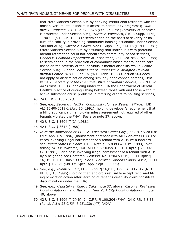that state violated Section 504 by denying institutional residents with the most severe mental disabilities access to community programs); *Plummer v. Branstad*, 731 F.2d 574, 578 (8th Cir. 1984) (severity of handicap is protected under Section 504); *Martin v. Voinovich*, 840 F. Supp. 1175, 1190-92 (S.D. Oh. 1993) (discrimination on the basis of severity or nature of disability in providing community housing actionable under Section 504 and ADA); *Garrity v. Gallen*, 522 F. Supp. 171, 214-15 (D.N.H. 1981) (state violated Section 504 by assuming that individuals with profound mental retardation could not benefit from community-based services); *Goebel v. Colorado Department of Institutions*, 764 P.2d 785 (Colo. 1988) (discrimination in the provision of community-based mental health care based on the severity of the individual's mental disability would violate Section 504). But see *People First of Tennessee v. Arlington Developmental Center*, 878 F. Supp. 97 (W.D. Tenn. 1992) (Section 504 does not apply to discrimination among similarly handicapped persons); *Williams v. Secretary of the Executive Office of Human Services*, 609 N.E.2d 447 (Mass. 1993) (upholding under the FHA the Department of Mental Health's practice of distinguishing between those with and those without active substance abuse problems in referring clients to housing services).

- 43 24 C.F.R. § 100.202(C).
- 44 See, e.g., *Secretary, HUD v. Community Homes-Western Village*, HUD ALJ 10-90-0019-1 (July 10, 1991) (holding developer's requirement that a blind applicant sign a hold-harmless agreement not required of other tenants violated the FHA). See also note 37, above.
- 45 42 U.S.C. § 3604(f)(2) (1988).
- 46 42 U.S.C. § 3617 (1988).
- 47 *In re the Application of 119-121 East 97th Street Corp*., 642 N.Y.S.2d 638 (N.Y. App. Div. 1996) (harassment of tenant with AIDS violates FHA). For cases involving illegal harassment of a tenant with AIDS by a landlord, see *United States v. Short*, FH-FL Rptr. ¶ 15,838 (W.D. Pa. 1993); *Secretary, HUD v. Williams*, HUD ALJ 02-89-0459-1, FH-FL Rptr. ¶ 25,007 (ALJ 1991). For a case involving illegal harassment of a tenant with AIDS by a neighbor, see *Garnett v. Pearson*, No. 1:96CV1719, FH-FL Rptr. ¶ 16,181.1 (E.D. Ohio 1997); *Doe v. Carrollan Gardens Condo. Ass'n*, FH-FL Rptr. ¶ 18.171 (Md. Ct. Spec. App. Sept. 6, 1995).
- 48 See, e.g., *Valenti v. Salz*, FH-FL Rptr. ¶ 16,013, 1995 WL 417547 (N.D. Ill. July 13, 1995) (holding that landlord's refusal to accept rent and filing of eviction action after learning of tenant's disability could constitute discrimination under the FHA).
- 49 See, e.g., *Weinstein v. Cherry Oaks*, note 37, above; *Cason v. Rochester Housing Authority* and *Murray v. New York City Housing Authority*, note 40, above.
- 50 42 U.S.C. § 3604(f)(3)(B), 24 C.F.R. § 100.204 (FHA); 24 C.F.R. § 8.33 (Rehab Act); 28 C.F.R. § 35.130(b)(7) (ADA).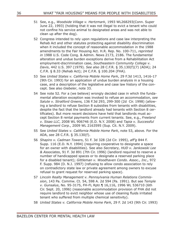- 51 See, e.g.*, Woodside Village v. Hertzmark*, 1993 WL268293(Conn. Super June 22, 1993) (holding that it was not illegal to evict a tenant who could not confine his service animal to designated areas and was not able to clean up after the dog).
- 52 Congress intended to rely upon regulations and case law interpreting the Rehab Act and other statutes protecting against disability discrimination when it included the concept of reasonable accommodation in the 1988 amendments to the Fair Housing Act. H.R. Rep. No. 100-711, *reprinted in* 1988 U.S. Code Cong. & Admin. News 2173, 2186. The fundamental alteration and undue burden exceptions derive from a Rehabilitation Act employment-discrimination case, *Southeastern Community College v. Davis*, 442 U.S. 397 (1979). *See also* 28 C.F.R. § 35.130(f)(7) (ADA); 24 C.F.R. § 8.33 (Rehab Act); 24 C.F.R. § 100.204 (FHA).
- 53 See *United States v. California Mobile Home Park*, 29 F.3d 1413, 1416-17 (9th Cir. 1993) for an application of undue burden analysis in a housing case, and a description of the legislative and case law history of the concept. See also *Giebeler*, note 33.
- 54 See note 52. For a (we believe) wrongly decided case in which the fundamental alteration exception was invoked to refuse an accommodation, *see Salute v. Stratford Greens,* 136 F.3d 293, 299-300 (2d Cir. 1998) (allowing a landlord to refuse Section 8 subsidies from tenants with disabilities, despite the fact that the landlord already had tenants with Section 8 certificates). But more recent decisions have held that landlords must accept Section 8 rental payments from current tenants. See, e.g., *Freeland v. Sisao LLC*, 2008 WL 906746 (E.D. N.Y. 2008) and *Tapia v. Successful Management Corp.*, 2009 WL 2163595 (Sup. Cit. N.Y. 2009).
- 55 See *United States v. California Mobile Home Park*, note 53, above. For the ADA, *see* 28 C.F.R. § 35.130(f).
- 56 *Shapiro v. Cadman Towers*, 51 F. 3d 328 (2d Cir. 1995), *aff'g* 844 F. Supp. 116 (E.D. N.Y. 1994) (requiring cooperative to designate a space for an owner with disabilities). See also *Secretary, HUD v. Jankowski Lee & Associates*, 91 F. 3d 891 (7th Cir. 1996) (landlord required to reserve a number of handicapped spaces or to designate a reserved parking place for a disabled tenant); *Gittleman v. Woodhaven Condo. Assoc., Inc*., 972 F. Supp. 984 (D. N.J. 1997) (refusing to allow condo association to rely on contradictory state law or private agreement among owners to excuse refusal to grant request for reserved parking space).
- 57 *Lincoln Realty Management v. Pennsylvania Human Relations Commission*, 143 Pa. Commw. Ct. 54, 598 A. 2d 594 (Pa. 1991). But see *Temple v. Gunsalus*, No. 95-3175, FH-FL Rptr.¶ 16,116, 1996 WL 536710 (6th Cir. Sept. 20, 1996) (reasonable accommodation provision of FHA did not require landlord to evict neighbor whose use of cleaning fluids irritated tenant who suffered from multiple chemical sensitivity).
- 58 *United States v. California Mobile Home Park*, 29 F. 2d 143 (9th Cir. 1993)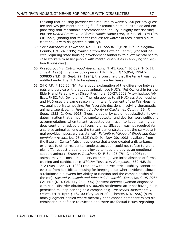(holding that housing provider was required to waive \$1.50 per day guest fee and \$25 per month parking fee for tenant's home health aide and emphasizing that reasonable accommodation inquiry is highly fact-specific). But see *United States v. California Mobile Home Park*, 107 F. 3d 1374 (9th Cir. 1997) (finding that tenant's request for waiver of fees lacked a sufficient nexus with daughter's disability).

- 59 See *Shavrnoch v. Lawrence*, No. 93-CH-55536-5 (Mich. Cir. Ct. Saginaw County, Oct. 24, 1995; available from the Bazelon Center) (consent decree requiring state housing development authority to allow mental health case workers to assist people with mental disabilities in applying for Section 8 subsidies).
- 60 *Roseborough v. Cottonwood Apartments*, FH-FL Rptr. ¶ 16,089 (N.D. Ill. June 4, 1996). In a previous opinion, FH-FL Rptr. ¶ 15,954, 1994 WL 530835 (N.D. Ill. Sept. 29, 1994), the court held that the tenant was not entitled under the FHA to be released from her lease.
- 61 24 C.F.R. § 100.204(b). For a good explanation of the difference between pets and service or therapeutic animals, see HUD's "Pet Ownership for the Elderly and Persons with Disabilities" rule, 10/27/2008 (www.hud.gov/offices/FHEO/Pet\_Ownership). The rule applies to all HUD-assisted housing and HUD uses the same reasoning in its enforcement of the Fair Housing Act against private housing. For favorable decisions involving therapeutic animals, *see Green v. Housing Authority of Clackamas County*, 994 F. Supp. 1253 (D. Ore. 1998) (housing authority could not substitute its own determination that a modified smoke detector and doorbell were sufficient accommodations when tenant requested permission to keep hear ing ear dog; court emphasized that licensing or certification was not required for a service animal as long as the tenant demonstrated that the service animal provided necessary assistance); *Fulciniti v. Village of Shadyside Condominium Assoc*., No. 96-1825 (W.D. Pa. Nov. 20, 1998; available from the Bazelon Center) (absent evidence that a dog created a disturbance or threat to other residents, condo association could not refuse to grant plaintiff's request that she be allowed to keep the dog as an emotional support animal); *Bronk v. Ineichen*, 54 F. 3d 425 (7th Cir. 1995) (an animal may be considered a service animal, even inthe absence of formal training and certification); *Whittier Terrace v. Hampshire*, 532 N.E. 2d. 712 (Mass. App. Ct. 1989) (tenant with a psychiatric disability cannot be evicted from subsidized housing for keeping a cat where evidence shows a relationship between her ability to function and the companionship of the cat); *Kalsrud v. Joseph and Edna Pell Revocable Trust*, No. C-95-2967 CAL ENE (N.D. Cal. July 24, 1996) (consent decree) (woman diagnosed with panic disorder obtained a \$100,265 settlement after not having been permitted to keep her dog as a companion); *Crossroads Apartments v. LeBoo*, FH-FL Rptr. ¶ 18,100 (City Court of Rochester, N.Y. 1990) (summary judgment denied where mentally handicapped defendant raises discrimination in defense to eviction and there are factual issues regarding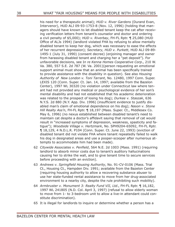his need for a therapeutic animal); *HUD v. River Gardens* (Durand Evan, Intervenor), HUD ALJ 09-93-1753-8 (Nov. 12, 1996) (holding that managers should have known to let disabled tenant keep the cat after receiving verification letters from tenant's counselor and doctor and ordering a civil penalty of \$5,000); *HUD v. Riverbay*, FH-FL Rptr. ¶ 25,080 (HUD Office of ALJs 1994) (landlord violated FHA by refusing to allow mentally disabled tenant to keep her dog, which was necessary to ease the effects of her recurrent depression); *Secretary, HUD v. Purkett*, HUD ALJ 09-89- 1495-1 (July 31, 1990) (consent decree) (enjoining manager and owner from harassing disabled tenant and charging her a "pet deposit"). For unfavorable decisions, see I*n re Kenna Homes Cooperative Corp*., 210 W. Va. 380, 557 S.E. 2d 787 (W. Va. 2001)(person requesting an emotional support animal must show that an animal has been specifically trained to provide assistance with the disability in question). See also *Housing Authority of New London v. Toni Tarrant*, No. 12480, 1997 Conn. Super. LEXIS 120 (Conn. Super. Ct. Jan. 14, 1997; available from the Bazelon Center), 1997 WL 30320 (no violation under Connecticut law where tenant had not provided any medical or psychological evidence of her son's mental disability and had not established that his academic deterioration was related to the prospect of losing his dog); *Durkee v. Staszak*, 636 N.Y.S. 2d 880 (N.Y. App. Div. 1996) (insufficient evidence to justify disabled man's claim of emotional dependence on his dog); *Nason v. Stone Hill Realty Ass'n*, FH-FL Rptr. ¶ 18,197 (Mass. Super. Ct., Middlesex Co. May 6, 1996) (no nexus established between disabled tenant's need to maintain cat despite a doctor's affidavit saying that removal of cat would result in "increased symptoms of depression, weakness, spasticity and fatigue"); *Woodside Village v. Hertzmark*, No. SPH9204-65092, FH-FL Rptr. ¶ 18,129, 4 N.D.L.R. P104 (Conn. Super. Ct. June 22, 1993) (eviction of disabled tenant did not violate FHA where tenant repeatedly failed to walk his dog in designated areas and use a pooper-scooper after numerous attempts to accommodate him had been made).

- 62 *Citywide Associates v. Penfield*, 564 N.E. 2d 1003 (Mass. 1991) (requiring landlord to absorb minor costs due to tenant's auditory hallucinations causing her to strike the wall, and to give tenant time to secure services before proceeding with an eviction).
- 63 *Andrews v. Springfield Housing Authority*, No. 91-CV-0106 (Mass. Trial Ct., Housing Ct., Hampden Div. 1991; available from the Bazelon Center (requiring housing authority to allow a recovering substance abuser to use her state-funded rental assistance to move from her drug-associated environment to a nearby city, despite the rule prohibiting such mobility).
- 64 *Armbruster v. Monument 3: Realty Fund VII, Ltd*., FH-FL Rptr. ¶ 16,182, 1997 WL 241805 (N.D. Col. April 3, 1997) (refusal to allow elderly woman to move from 1- to 3-bedroom unit to allow a live-in attendant could constitute discrimination).
- 65 It is illegal for landlords to inquire or determine whether a person has a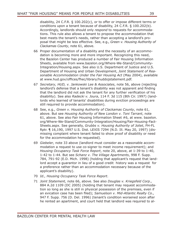disability, 24 C.F.R. § 100.202(c), or to offer or impose different terms or conditions upon a tenant because of disability, 24 C.F.R. § 100.202(b). Accordingly, landlords should only *respond* to requests for accommodations. This rule also allows a tenant to propose the accommodation that best meets the tenant's needs, rather than accepting a landlord's proposal that might be less effective. See, e.g., *Green v. Housing Authority of Clackamas County*, note 61, above.

- 66 Proper documentation of a disability and the necessity of an accommodation is becoming more and more important. Recognizing this need, the Bazelon Center has produced a number of Fair Housing Information Sheets, available from www.bazelon.org/Where-We-Stand/Community-Integration/Housing.aspx. See also U.S. Department of Justice and U.S. Department of Housing and Urban Development, *Joint Statement of Reasonable Accommodation Under the Fair Housing Act* (May 2004), available at www.hud.gov/offices/fhec/library/huddojstatement.pdf.
- 67 *Secretary, HUD, v. Jankowski Lee & Associates*, note 56, above (rejecting landlord's defense that a tenant's disability was not apparent and finding that the landlord did not ask the tenant for any further verification of his disability). See also *Radecki v. Joura*, 114 F. 3d 115 (8th Cir. 1997) (landlords who learned of tenants' disabilities during eviction proceedings are still required to provide accommodation).
- 68 See, e.g.*, Green v. Housing Authority of Clackamas County*, note 61, above. But see *Housing Authority of New London v. Toni Tarrant*, note 61, above. See also Fair Housing Information Sheet #6, at www. bazelon. org/Where-We-Stand/Community-Integration/Housing/Fair-Housing-Fact-Sheets.aspx. See generally, *Grubbs v. Housing Authority of Joliet*, FH-FL Rptr. ¶ 16,190, 1997 U.S. Dist. LEXIS 7294 (N.D. Ill. May 20, 1997) (dismissing complaint where tenant failed to show proof of disability or need for the accommodation he requested).
- 69 *Giebeler,* note 33 above (landlord must consider as a reasonable accommodation a request to use co-signer to meet income requirement); and *Housing Occupancy Task Force Report*, note 20, above, at 1-39 to 1-40, 1-42 to 1-44. But see *Schanz v. The Village Apartments*, 998 F. Supp. 784, 791-92 (E.D. Mich. 1998) (holding that applicant's request that landlord accept a guarantor in lieu of a good credit history was a request for a preference rather than an accommodation necessary because of the applicant's disability).
- 70 *Id., Housing Occupancy Task Force Report*.
- 71 *Joint Statement,* note 66, above. See also *Douglas v. Kriegsfeld Corp.,*  884 A.2d 1109 (DC 2005) (holding that tenant may request accommodation so long as she is still in physical possession of the premises, even if an evication case has been filed); *Samuelson v. Mid-Atlantic Realty Co*., 947 F. Supp. 756 (D. Del. 1996) (tenant's condition worsened soon after he rented an apartment, and court held that landlord was required to al-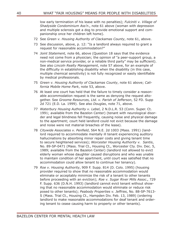low early termination of his lease with no penalties); *Fulciniti v. Village of Shadyside Condominium Ass'n*., note 61 above (woman with depression and multiple sclerosis got a dog to provide emotional support and companionship once her children left home).

- 72 See *Green v. Housing Authority of Clackamas County*, note 61, above.
- 73 See discussion, above, p. 12: "Is a landlord always required to grant a request for reasonable accommodation?"
- 74 *Joint Statement,* note 66, above (Question 18 says that the evidence need not come from a physician; the opinion of "a peer-support group, a non-medical service provider, or a reliable third party" may be sufficient). See also *Lincoln Realty Management*, note 57 above, for an example of the difficulty in establishing disability when the disability (in this case, multiple chemical sensitivity) is not fully recognized or easily identifiable by medical professionals.
- 75 *Green v. Housing Authority of Clackamas County*, note 61 above; *California Mobile Home Park*, note 53, above.
- 76 At least one court has held that the failure to timely consider a reasonable accommodation request is the same as denyong the request altogether. See *Groome Resources, Ltd. v. Parish of Jefferson*, 52 FD. Supp 2d 721 (E.D. La. 1999). See also *Douglas*, note 71, above.
- 77 *Waterbury Housing Authority v. Lebel*, 2 N.D.L.R. 53 (Conn. Super. Ct. 1991; available from the Bazelon Center) (tenant with neurological disorder and legal blindness fell frequently, causing noise and physical damage to the apartment; court held landlord could not evict because the damage and noise were not material breaches of the lease).
- 78 *Citywide Associates v. Penfield*, 564 N.E. 2d 1003 (Mass. 1991) (landlord required to accommodate mentally ill tenant experiencing auditory hallucinations by absorbing minor repair costs and giving tenant time to secure heightened services); *Worcester Housing Authority v. Santis*, No. 89-SP-0471 (Mass. Trial Ct., Housing Ct., Worcester Cty. Div. Dec. 5, 1989; available from the Bazelon Center) (landlord not allowed to evict elderly woman whose daughter caused disruptions and who was unable to maintain condition of her apartment, until court was satisfied that no accommodation could allow tenant to continue her tenancy).
- 79 *Roe v. Housing Authority*, 909 F. Supp. 814 (D. Colo. 1995) (housing provider required to show that no reasonable accommodation would eliminate or acceptably minimize the risk of a tenant to other tenants before proceeding with an eviction); *Roe v. Sugar River Mills Assoc*., 729 F. Supp. 636 (D.N.H. 1993) (landlord cannot evict tenant without showing that no reasonable accommodation would eliminate or reduce risk posed to other tenants); *Peabody Properties v. Jeffries*, No. 88-SP-7613- S (Mass. Trial Ct., Housing Ct., Hampden Div. Feb. 13, 1989) (ordering landlord to make reasonable accommodations for deaf tenant and ordering tenant to cease causing harm to property or other tenants).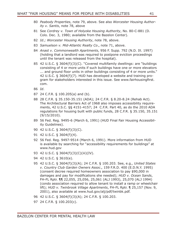- 80 *Peabody Properties*, note 79, above. See also *Worcester Housing Authority v. Santis*, note 78, above
- 81 See *Cordrey v. Town of Holyoke Housing Authority*, No. 80-C-881 (D. Colo. Dec. 3, 1980; available from the Bazelon Center).
- 82 *Id.; Worcester Housing Authority*, note 78, above.
- 83 *Samuelson v. Mid-Atlantic Realty Co*., note 71, above.
- 84 *Anast v. Commonwealth Apartments*, 956 F. Supp. 792 (N.D. Ill. 1997) (holding that a landlord was required to postpone eviction proceedings until the tenant was released from the hospital).
- 85 42 U.S.C. § 3604(f)(3)(C). "Covered multifamily dwellings: are "buildings consisting of 4 or more units if such buildings have one or more elevators ... and ground floor units in other buildings consisting of 4 or more units." 42 U.S.C. § 3604(f)(7). HUD has developed a website and training program for stakeholders interested in this issue. See www.fairhousingfirst. com.
- 86 *Id*.
- 87 24 C.F.R. § 100.205(a) and (b).
- 88 28 C.F.R. § 35.150-35.151 (ADA); 24 C.F.R. § 8.20-8.24 (Rehab Act). The Architectural Barriers Act of 1968 also imposes accessibility requirements, 42 U.S.C. §§ 4151-4157; 24 C.F.R. Part 40, as do the 2010 ADA regulations for housing built with public funds, 28 C.F.R. § 35.150, 35.151 (9/15/2010).
- 89 56 Fed. Reg. 9495-6 (March 6, 1991) (HUD Final Fair Housing Accessibility Guidelines).
- 90 42 U.S.C. § 3604(f)(3)(C).
- 91 42 U.S.C. § 3604(f)(4).
- 92 56 Fed. Reg. 9497-9514 (March 6, 1991). More information from HUD is available by searching for "accessibility requirements for buildings" at www.hud.gov
- 93 42 U.S.C. § 3604(f)(3)(C)(iii)(IV).
- 94 42 U.S.C. § 3610(e).
- 95 42 U.S.C. § 3604(f)(3)(A); 24 C.F.R. § 100.203. See, e.g.*, United States v. Country Club Garden Owners Assoc*., 159 F.R.D. 400 (E.D.N.Y. 1995) (consent decree required homeowners association to pay \$90,000 in damages and pay for modifications she needed); *HUD v. Ocean Sands*, FH-FL Rptr. ¶¶ 22,055, 25,056, 25,061 (ALJ 1993), 25,070 (ALJ 1994) (condo association required to allow tenant to install a ramp or wheelchair lift); *HUD v. Twinbrook Village Apartments*, FH-FL Rptr. ¶ 25,157 (Nov. 9, 2001), also available at www.hud.gov/alj/pdf/twinbk.pdf.
- 96 42 U.S.C. § 3604(f)(3)(A); 24 C.F.R. § 100.203.
- 97 24 C.F.R. § 100.203(c).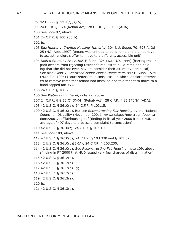- 98 42 U.S.C. § 3604(f)(3)(A).
- 99 24 C.F.R. § 8.24 (Rehab Act); 28 C.F.R. § 35.150 (ADA).
- 100 See note 97, above.
- 101 24 C.F.R. § 100.203(b).
- 102 *Id*.
- 103 See *Hunter v. Trenton Housing Authority*, 304 N.J. Super. 70, 698 A. 2d 25 (N.J. App. 1997) (tenant was entitled to build ramp and did not have to accept landlord's offer to move to a different, accessible unit).
- 104 *United States v. Freer*, 864 F. Supp. 324 (W.D.N.Y. 1994) (barring trailer park owners from rejecting resident's request to build ramp and holding that she did not even have to consider their alternative proposal). See also *Elliott v. Sherwood Manor Mobile Home Park*, 947 F. Supp. 1574 (M.D. Fla. 1996) (court refuses to dismiss case in which landlord attempted to remove ramp that tenant had installed and told tenant to move to a handicapped facility).
- 105 24 C.F.R. § 100.203.
- 106 See *Waterbury v. Lebel*, note 77, above.
- 107 24 C.F.R. § 8.56(C)(3)-(4) (Rehab Act); 28 C.F.R. § 35.170(b) (ADA).
- 108 42 U.S.C. § 3610(a); 24 C.F.R. § 103.15.
- 109 42 U.S.C. § 3610(a). But see *Reconstructing Fair Housing* by the National Council on Disability (November 2001), www.ncd.gov/newsroom/publications/2001/pdf/fairhousing.pdf (finding in fiscal year 2000 it took HUD an average of 497 days to process a complaint to conclusion).
- 110 42 U.S.C. § 3610(f); 24 C.F.R. § 103.100.
- 111 See note 109, above.
- 112 42 U.S.C. § 3610(b); 24 C.F.R. § 103.330 and § 103.325.
- 113 42 U.S.C. § 3610(b)(5)(A); 24 C.F.R. § 103.230.
- 114 42 U.S.C. § 3610(g). See *Reconstructing Fair Housing*, note 109, above (finding in FY 2000 that HUD issued very few charges of discrimination).
- 115 42 U.S.C. § 3612(a).
- 116 42 U.S.C. § 3612(o).
- 117 42 U.S.C. § 3612(b)-(g).
- 118 42 U.S.C. § 3612(g).
- 119 42 U.S.C. § 3613(a).
- 120 *Id*.
- 121 42 U.S.C. § 3613(b).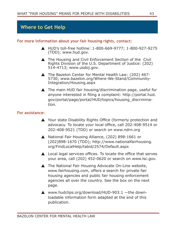# **Where to Get Help**

#### **For more information about your fair housing rights, contact:**

- ▲ HUD's toll-free hotline: 1-800-669-9777; 1-800-927-9275 (TDD); www.hud.gov.
- ▲ The Housing and Civil Enforcement Section of the Civil Rights Division of the U.S. Department of Justice: (202) 514-4713; www.usdoj.gov.
- ▲ The Bazelon Center for Mental Health Law: (202) 467-5730; www.bazelon.org/Where-We-Stand/Community-Integration/Housing.aspx
- ▲ The main HUD fair housing/discrimination page, useful for anyone interested in filing a complaint: http://portal.hud. gov/portal/page/portal/HUD/topics/housing\_discrimination.

#### **For assistance:**

- ▲ Your state Disability Rights Office (formerly protection and advocacy. To locate your local office, call 202-408-9514 or 202-408-9521 (TDD) or search on www.ndrn.org
- ▲ National Fair Housing Alliance, (202) 898-1661 or (202)898-1670 (TDD); http://www.nationalfairhousing. org/FindLocalHelp/tabid/2574/Default.aspx
- ▲ Local legal services offices. To locate the office that serves your area, call (202) 452-0620 or search on www.lsc.gov.
- ▲ The National Fair Housing Advocate On-Line website, www.fairhousing.com, offers a search for private fair housing agencies and public fair housing enforcement agencies all over the country. See the box on the next page.
- ▲ www.hudclips.org/download/HUD-903.1 —the downloadable information form adapted at the end of this publication.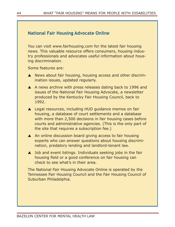# **National Fair Housing Advocate Online**

You can visit www.fairhousing.com for the latest fair housing news. This valuable resource offers consumers, housing industry professionals and advocates useful information about housing discrimination.

Some features are:

- ▲ News about fair housing, housing access and other discrimination issues, updated regularly.
- ▲ A news archive with press releases dating back to 1996 and issues of the National Fair Housing Advocate, a newsletter produced by the Kentucky Fair Housing Council, back to 1992.
- ▲ Legal resources, including HUD guidance memos on fair housing, a database of court settlements and a database with more than 2,500 decisions in fair housing cases before courts and administrative agencies. (This is the only part of the site that requires a subscription fee.)
- ▲ An online discussion board giving access to fair housing experts who can answer questions about housing discrimination, predatory lending and landlord-tenant law.
- ▲ Job and event listings. Individuals seeking jobs in the fair housing field or a good conference on fair housing can check to see what's in their area.

The National Fair Housing Advocate Online is operated by the Tennessee Fair Housing Council and the Fair Housing Council of Suburban Philadelphia.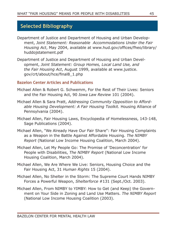# **Selected Bibliography**

- Department of Justice and Department of Housing and Urban Development, *Joint Statement: Reasonable Accommodations Under the Fair Housing Act*, May 2004, available at www.hud.gov/offices/fheo/library/ huddojstatement.pdf
- Department of Justice and Department of Housing and Urban Development, *Joint Statement: Group Homes, Local Land Use, and the Fair Housing Act*, August 1999, available at www.justice. gov/crt/about/hce/final8\_1.php

# **Bazelon Center Articles and Publications**

- Michael Allen & Robert G. Schwemm, For the Rest of Their Lives: Seniors and the Fair Housing Act, 90 *Iowa Law Review* 101 (2004).
- Michael Allen & Sara Pratt, *Addressing Community Opposition to Affordable Housing Development: A Fair Housing Toolkit.* Housing Alliance of Pennsylvania (2004).
- Michael Allen, Fair Housing Laws, Encyclopedia of Homelessness, 143-148, Sage Publications (2004).
- Michael Allen, "We Already Have Our Fair Share": Fair Housing Complaints as a Weapon in the Battle Against Affordable Housing. *The NIMBY Report* (National Low Income Housing Coalition, March 2004).
- Michael Allen, Let My People Go: The Promise of 'Deconcentration' for People with Disabilities, *The NIMBY Report* (National Low Income Housing Coalition, March 2004).
- Michael Allen, We Are Where We Live: Seniors, Housing Choice and the Fair Housing Act, 31 *Human Rights* 15 (2004).
- Michael Allen, No Shelter in the Storm: The Supreme Court Hands NIMBY Forces a Powerful Weapon, *Shelterforce* #131 (Sept./Oct. 2003).
- Michael Allen, From NIMBY to YIMBY: How to Get (and Keep) the Government on Your Side in Zoning and Land Use Matters. *The NIMBY Report*  (National Low Income Housing Coalition (2003).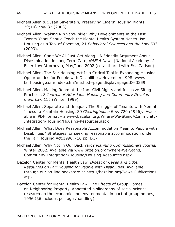- Michael Allen & Susan Silverstein, Preserving Elders' Housing Rights, 39(10) *Trial* 32 (2003).
- Michael Allen, Waking Rip vanWinkle: Why Developments in the Last Twenty Years Should Teach the Mental Health System Not to Use Housing as a Tool of Coercion, 21 *Behavioral Sciences and the Law* 503 (2003).
- Michael Allen, Can't We All Just Get Along: A Friendly Argument About Discrimination in Long-Term Care, *NAELA News* (National Academy of Elder Law Attorneys), May/June 2002 (co-authored with Eric Carlson)
- Michael Allen, The Fair Housing Act Is a Critical Tool in Expanding Housing Opportunities for People with Disabilities, November 1998. www. fairhousing.com/index.cfm?method=page.display&pageID=3259
- Michael Allen, Making Room at the Inn: Civil Rights and Inclusive Siting Practices, 8 *Journal of Affordable Housing and Community Development Law* 115 (Winter 1999)
- Michael Allen, Separate and Unequal: The Struggle of Tenants with Mental Illness to Maintain Housing, 30 *Clearinghouse Rev.* 720 (1996). Available in PDF format via www.bazelon.org/Where-We-Stand/Community-Integration/Housing/Housing-Resources.aspx
- Michael Allen, What Does Reasonable Accommodation Mean to People with Disabilities? Strategies for seeking reasonable accommodation under the Fair Housing Act,1996. (16 pp. BC)
- Michael Allen, Why Not in Our Back Yard? *Planning Commissioners Journal*, Winter 2002. Available via www.bazelon.org/Where-We-Stand/ Community-Integration/Housing/Housing-Resources.aspx
- Bazelon Center for Mental Health Law, *Digest of Cases and Other Resources on Fair Housing for People with Disabilitie*s. Available through our on-line bookstore at http://bazelon.org/News-Publications. aspx
- Bazelon Center for Mental Health Law, The Effects of Group Homes on Neighboring Property. Annotated bibliography of social science research on the economic and environmental impact of group homes, 1996.(\$6 includes postage /handling).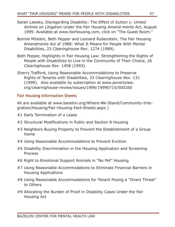- Sarah Lawsky, Disregarding Disability: The Effect of *Sutton v. United Airlines* on Litigation Under the Fair Housing Amend-ments Act, August 1999. Available at www.fairhousing.com, click on "The Guest Room."
- Bonnie Milstein, Beth Pepper and Leonard Rubenstein, The Fair Housing Amendments Act of 1988: What It Means for People With Mental Disabilities, 23 *Clearinghouse Rev*. 1274 (1989).
- Beth Pepper, Highlights in Fair Housing Law: Strengthening the Rights of People with Disabilities to Live in the Community of Their Choice, 26 *Clearinghouse Rev*. 1458 (1993).
- Sherry Trafford, Using Reasonable Accommodations to Preserve Rights of Tenants with Disabilities, 33 *Clearinghouse Rev.* 131 (1999). Also available by subscription at www.povertylaw. org/clearinghouse-review/issues/1999/19990715/500260

# **Fair Housing Information Sheets**

All are available at www.bazelon.org/Where-We-Stand/Community-Integration/Housing/Fair-Housing-Fact-Sheets.aspx )

- #1 Early Termination of a Lease
- #2 Structural Modifications in Public and Section 8 Housing
- #3 Neighbors Buying Property to Prevent the Establishment of a Group Home
- #4 Using Reasonable Accommodations to Prevent Eviction
- #5 Disability Discrimination in the Housing Application and Screening Process
- #6 Right to Emotional Support Animals in "No Pet" Housing
- #7 Using Reasonable Accommodations to Eliminate Financial Barriers in Housing Applications
- #8 Using Reasonable Accommodations for Tenant Posing a "Direct Threat" to Others
- #9 Allocating the Burden of Proof in Disability Cases Under the Fair Housing Act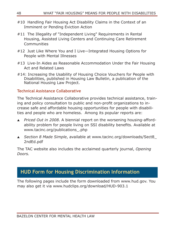- #10 Handling Fair Housing Act Disability Claims in the Context of an Imminent or Pending Eviction Action
- #11 The Illegality of "Independent Living" Requirements in Rental Housing, Assisted Living Centers and Continuing Care Retirement Communities
- #12 Just Like Where You and I Live—Integrated Housing Options for People with Mental Illnesses
- #13 Live-In Aides as Reasonable Accommodation Under the Fair Housing Act and Related Laws
- #14: Increasing the Usability of Housing Choice Vouchers for People with Disabilities, published in Housing Law Bulletin, a publication of the National Housing Law Project.

# **Technical Assistance Collaborative**

The Technical Assistance Collaborative provides technical assistance, training and policy consultation to public and non-profit organizations to increase safe and affordable housing opportunities for people with disabilities and people who are homeless. Among its popular reports are:

- *Priced Out in 2008*. A biennial report on the worsening housing-affordability problem for people living on SSI disability benefits. Available at www.tacinc.org/publications\_.php
- *Section 8 Made Simple*, available at www.tacinc.org/downloads/Sect8\_ 2ndEd.pdf

The TAC website also includes the acclaimed quarterly journal, *Opening Doors.*

# **HUD Form for Housing Discrimination Information**

The following pages include the form downloaded from www.hud.gov. You may also get it via www.hudclips.org/download/HUD-903.1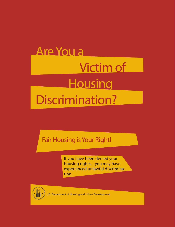# **Are You a** Victim of Housing Discrimination?

# Fair Housing is Your Right!

If you have been denied your housing rights...you may have experienced unlawful discrimination.



U.S. Department of Housing and Urban Development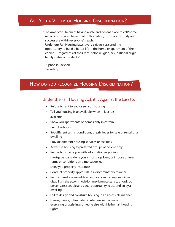# ARE YOU A VICTIM OF HOUSING DISCRIMINATION?

"The American Dream of having a safe and decent place to call 'home' reflects our shared belief that in this nation, opportunity and success are within everyone's reach. Under our Fair Housing laws, every citizen is assured the opportunity to build a better life in the home or apartment of their  $choice$  – regardless of their race, color, religion, sex, national origin, family status or disability."

Alphonso Jackson Secretary

# HOW DO YOU RECOGNIZE HOUSING DISCRIMINATION?

### Under the Fair Housing Act, it is Against the Law to:

- Refuse to rent to you or sell you housing
- Tell you housing is unavailable when in fact it is available
- Show you apartments or homes only in certain neighborhoods
- Set different terms, conditions, or privileges for sale or rental of a dwelling
- Provide different housing services or facilities
- Advertise housing to preferred groups of people only
- Refuse to provide you with information regarding mortgage loans, deny you a mortgage loan, or impose different terms or conditions on a mortgage loan
- Deny you property insurance
- Conduct property appraisals in a discriminatory manner
- Refuse to make reasonable accomodations for persons with a disability if the accommodation may be necessary to afford such person a reasonable and equal opportunity to use and enjoy a dwelling.
- Fail to design and construct housing in an accessible manner
- Harass, coerce, intimidate, or interfere with anyone exercising or assisting someone else with his/her fair housing rights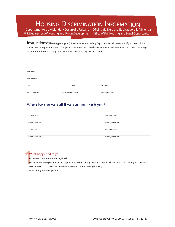# HOUSING DISCRIMINATION INFORMATION

Departamento de Vivienda y Desarrollo Urbano Oficina de Derecho Equitativo a la Vivienda U.S. Department of Housing and Urban Development Office of Fair Housing and Equal Opportunity

Instructions: (Please type or print) Read this form carefully. Try to answer all questions. If you do not know the answer or a question does not apply to you, leave the space blank. You have one year from the date of the alleged discrimination to file a complaint. Your form should be signed and dated.

| Your Name         |                       |                  |  |
|-------------------|-----------------------|------------------|--|
| Your Address      |                       |                  |  |
| City              | State                 | Zip Code         |  |
| Best time to call | Your Daytime Phone No | Evening Phone No |  |

# Who else can we call if we cannot reach you?

| Contact's Name   | Best Time to call |
|------------------|-------------------|
| Daytime Phone No | Evening Phone No  |
| Contact's Name   | Best Time to call |
| Daytime Phone No | Evening Phone No  |

How were you discriminated against?

**1** What happened to you?<br>
How were you discriminated age<br>
For example: were you refused a<br>
able when in fact it was? Treated For example: were you refused an opportunity to rent or buy housing? Denied a loan? Told that housing was not available when in fact it was? Treated differently from others seeking housing? State briefly what happened.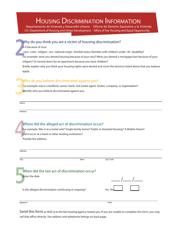# HOUSING DISCRIMINATION INFORMATION

Departamento de Vivienda y Desarrollo Urbano Oficina de Derecho Equitativo a la Vivienda U.S. Department of Housing and Urban Development Office of Fair Housing and Equal Opportunity

### Why do you think you are a victim of housing discrimination?

Is it because of your:

. race . color . religion . sex . national origin . familial status (families with children under 18) . disability?

**2** For example: were you denied housing because of your race? Were you denied a mortgage loan because of your religion? Or turned down for an apartment because you have children?

Briefly explain why you think your housing rights were denied and circle the factor(s) listed above that you believe apply.

### Who do you believe discriminated against you?

**3** For example: was it a landlord, owner, bank, real estate agent, broker, company, or organization? Identify who you believe discriminated against you.

Name

Address

# **14**<br>**14**<br>**14**<br>Pro Where did the alleged act of discrimination occur? For example: Was it at a rental unit? Single family home? Public or Assisted Housing? A Mobile Home? Did it occur at a bank or other lending institution? Provide the address. **Address** City **State City** State **City** State **City** State **Zip Code**

| When did the last act of discrimination occur?<br><b>Enter the date</b> |        |
|-------------------------------------------------------------------------|--------|
| Is the alleged discrimination continuing or ongoing?                    | Yes No |
| Signature                                                               | Date   |

Send this form to HUD or to the fair housing agency nearest you. If you are unable to complete this form, you may call that office directly. See address and telephone listings on back page.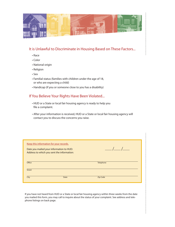

#### It is Unlawful to Discriminate in Housing Based on These Factors...

- $\cdot$  Race
- $\cdot$  Color
- National origin
- Religion
- $\cdot$  Sex
- Familial status (families with children under the age of 18, or who are expecting a child)
- Handicap (if you or someone close to you has a disability)

#### If You Believe Your Rights Have Been Violated...

- HUD or a State or local fair housing agency is ready to help you file a complaint.
- After your information is received, HUD or a State or local fair housing agency will contact you to discuss the concerns you raise.

| Keep this information for your records.<br>Date you mailed your information to HUD:<br>Address to which you sent the information: | $\frac{1}{\sqrt{2}}$ |
|-----------------------------------------------------------------------------------------------------------------------------------|----------------------|
| Office                                                                                                                            | Telephone            |
| <b>Street</b>                                                                                                                     |                      |
| City<br><b>State</b>                                                                                                              | <b>Zip Code</b>      |
|                                                                                                                                   |                      |

If you have not heard from HUD or a State or local fair housing agency within three weeks from the date you mailed this form, you may call to inquire about the status of your complaint. See address and telephone listings on back page.